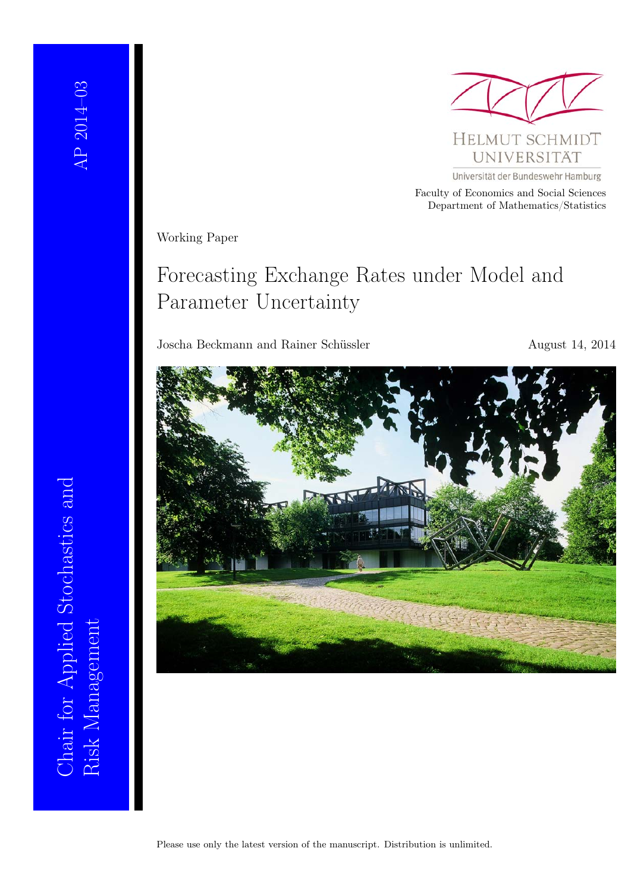

Faculty of Economics and Social Sciences Department of Mathematics/Statistics

Working Paper

# Forecasting Exchange Rates under Model and Parameter Uncertainty

Joscha Beckmann and Rainer Schüssler August 14, 2014



Risk Management<br>Risk Management Chair for Applied Stochastics and Chair for Applied Stochastics and Risk Management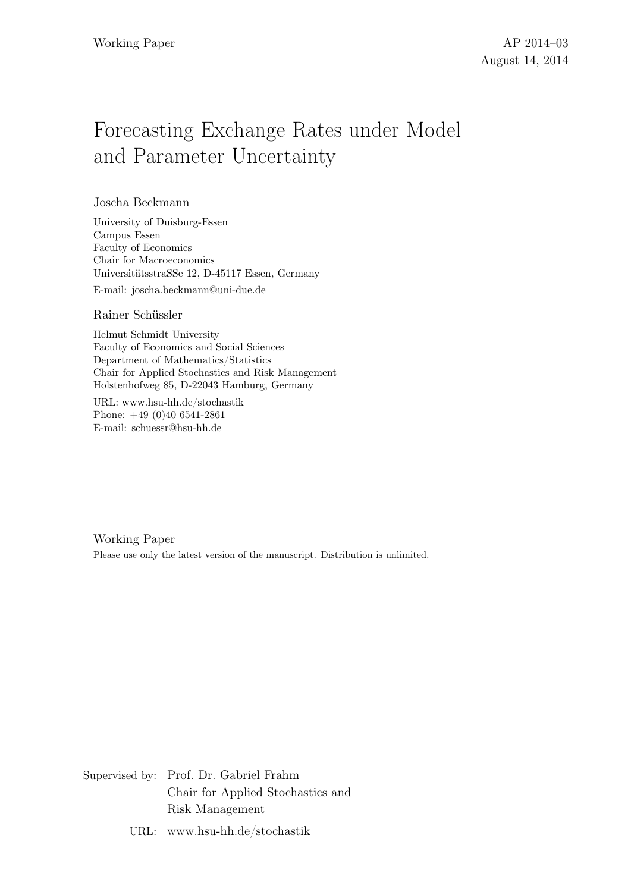# Forecasting Exchange Rates under Model and Parameter Uncertainty

Joscha Beckmann

University of Duisburg-Essen Campus Essen Faculty of Economics Chair for Macroeconomics Universitätsstraße 12, D-45117 Essen, Germany

E-mail: joscha.beckmann@uni-due.de

#### Rainer Schüssler

Helmut Schmidt University Faculty of Economics and Social Sciences Department of Mathematics/Statistics Chair for Applied Stochastics and Risk Management Holstenhofweg 85, D-22043 Hamburg, Germany

URL: www.hsu-hh.de/stochastik Phone: +49 (0)40 6541-2861 E-mail: schuessr@hsu-hh.de

Working Paper Please use only the latest version of the manuscript. Distribution is unlimited.

Supervised by: Prof. Dr. Gabriel Frahm Chair for Applied Stochastics and Risk Management

URL: www.hsu-hh.de/stochastik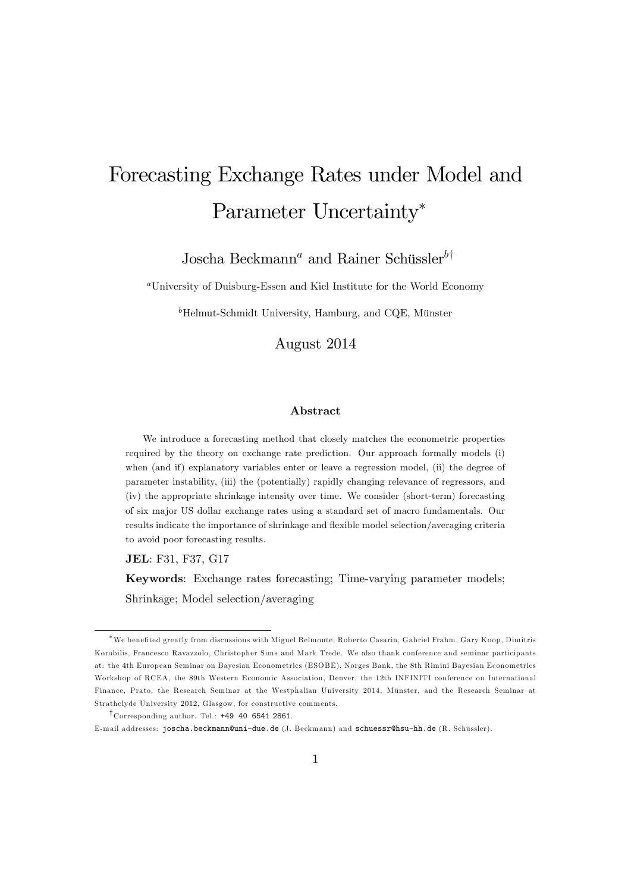# Forecasting Exchange Rates under Model and Parameter Uncertainty\*

Joscha Beckmann<sup>a</sup> and Rainer Schüssler<sup>b†</sup>

<sup>a</sup>University of Duisburg-Essen and Kiel Institute for the World Economy

 $b$ Helmut-Schmidt University, Hamburg, and CQE, Münster

August 2014

#### Abstract

We introduce a forecasting method that closely matches the econometric properties required by the theory on exchange rate prediction. Our approach formally models (i) when (and if) explanatory variables enter or leave a regression model, (ii) the degree of parameter instability, (iii) the (potentially) rapidly changing relevance of regressors, and (iv) the appropriate shrinkage intensity over time. We consider (short-term) forecasting of six major US dollar exchange rates using a standard set of macro fundamentals. Our results indicate the importance of shrinkage and flexible model selection/averaging criteria to avoid poor forecasting results.

JEL: F31, F37, G17

Keywords: Exchange rates forecasting; Time-varying parameter models; Shrinkage; Model selection/averaging

<sup>\*</sup>We benefited greatly from discussions with Miguel Belmonte, Roberto Casarin, Gabriel Frahm, Gary Koop, Dimitris Korobilis, Francesco Ravazzolo, Christopher Sims and Mark Trede. We also thank conference and seminar participants at: the 4th European Seminar on Bayesian Econometrics (ESOBE), Norges Bank, the 8th Rimini Bayesian Econometrics Workshop of RCEA, the 89th Western Economic Association, Denver, the 12th INFINITI conference on International Finance, Prato, the Research Seminar at the Westphalian University 2014, Münster, and the Research Seminar at Strathclyde University 2012, Glasgow, for constructive comments.

 $\uparrow$  Corresponding author. Tel.: +49 40 6541 2861.

E-mail addresses: joscha.beckmann@uni-due.de (J. Beckmann) and schuessr@hsu-hh.de (R. Schüssler).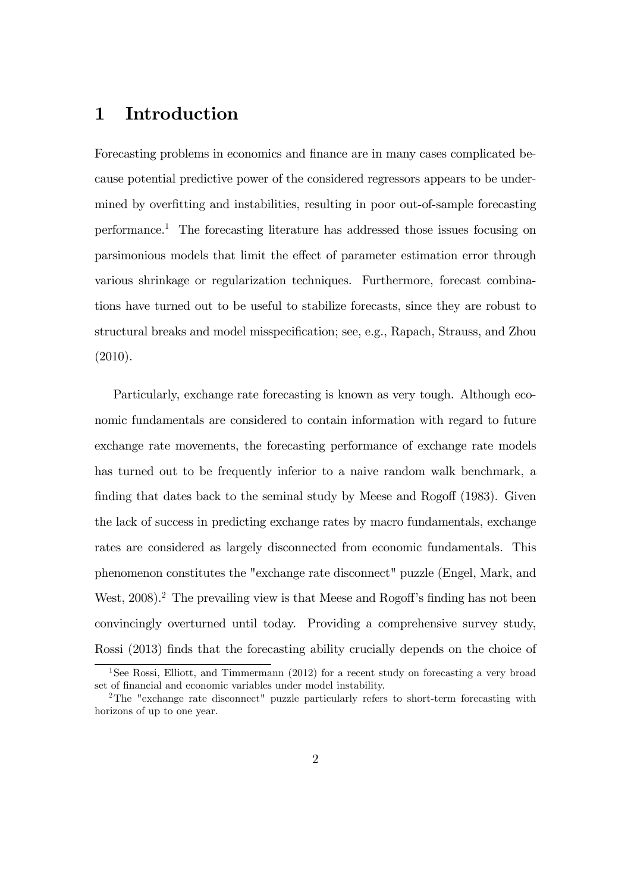## 1 Introduction

Forecasting problems in economics and finance are in many cases complicated because potential predictive power of the considered regressors appears to be undermined by overfitting and instabilities, resulting in poor out-of-sample forecasting performance.<sup>1</sup> The forecasting literature has addressed those issues focusing on parsimonious models that limit the effect of parameter estimation error through various shrinkage or regularization techniques. Furthermore, forecast combinations have turned out to be useful to stabilize forecasts, since they are robust to structural breaks and model misspecification; see, e.g., Rapach, Strauss, and Zhou (2010).

Particularly, exchange rate forecasting is known as very tough. Although economic fundamentals are considered to contain information with regard to future exchange rate movements, the forecasting performance of exchange rate models has turned out to be frequently inferior to a naive random walk benchmark, a finding that dates back to the seminal study by Meese and Rogoff  $(1983)$ . Given the lack of success in predicting exchange rates by macro fundamentals, exchange rates are considered as largely disconnected from economic fundamentals. This phenomenon constitutes the "exchange rate disconnect" puzzle (Engel, Mark, and West,  $2008$ <sup>2</sup>. The prevailing view is that Meese and Rogoff's finding has not been convincingly overturned until today. Providing a comprehensive survey study, Rossi (2013) finds that the forecasting ability crucially depends on the choice of

<sup>&</sup>lt;sup>1</sup>See Rossi, Elliott, and Timmermann (2012) for a recent study on forecasting a very broad set of financial and economic variables under model instability.

<sup>2</sup>The "exchange rate disconnect" puzzle particularly refers to short-term forecasting with horizons of up to one year.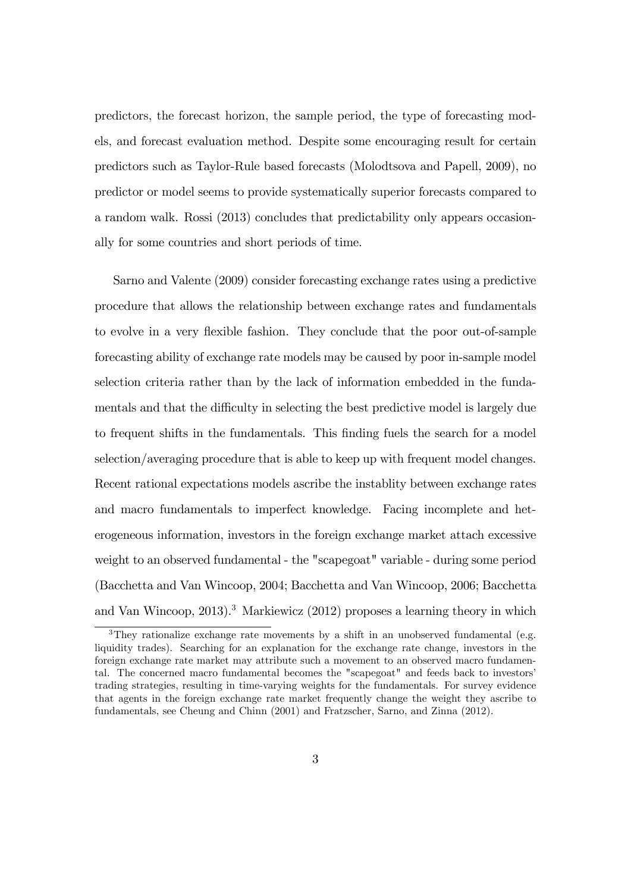predictors, the forecast horizon, the sample period, the type of forecasting models, and forecast evaluation method. Despite some encouraging result for certain predictors such as Taylor-Rule based forecasts (Molodtsova and Papell, 2009), no predictor or model seems to provide systematically superior forecasts compared to a random walk. Rossi (2013) concludes that predictability only appears occasionally for some countries and short periods of time.

Sarno and Valente (2009) consider forecasting exchange rates using a predictive procedure that allows the relationship between exchange rates and fundamentals to evolve in a very flexible fashion. They conclude that the poor out-of-sample forecasting ability of exchange rate models may be caused by poor in-sample model selection criteria rather than by the lack of information embedded in the fundamentals and that the difficulty in selecting the best predictive model is largely due to frequent shifts in the fundamentals. This finding fuels the search for a model selection/averaging procedure that is able to keep up with frequent model changes. Recent rational expectations models ascribe the instablity between exchange rates and macro fundamentals to imperfect knowledge. Facing incomplete and heterogeneous information, investors in the foreign exchange market attach excessive weight to an observed fundamental - the "scapegoat" variable - during some period (Bacchetta and Van Wincoop, 2004; Bacchetta and Van Wincoop, 2006; Bacchetta and Van Wincoop, 2013).<sup>3</sup> Markiewicz (2012) proposes a learning theory in which

<sup>&</sup>lt;sup>3</sup>They rationalize exchange rate movements by a shift in an unobserved fundamental (e.g. liquidity trades). Searching for an explanation for the exchange rate change, investors in the foreign exchange rate market may attribute such a movement to an observed macro fundamental. The concerned macro fundamental becomes the "scapegoat" and feeds back to investors' trading strategies, resulting in time-varying weights for the fundamentals. For survey evidence that agents in the foreign exchange rate market frequently change the weight they ascribe to fundamentals, see Cheung and Chinn (2001) and Fratzscher, Sarno, and Zinna (2012).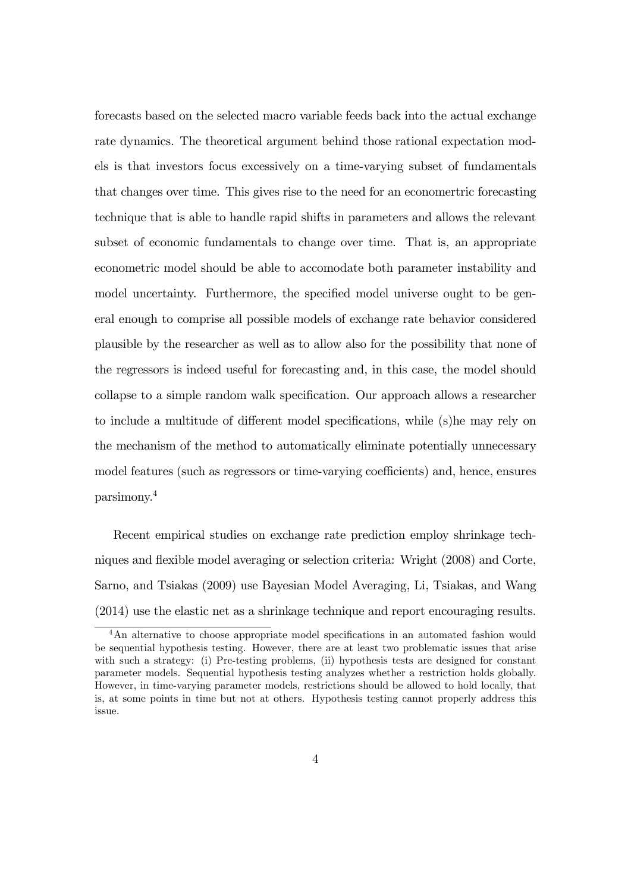forecasts based on the selected macro variable feeds back into the actual exchange rate dynamics. The theoretical argument behind those rational expectation models is that investors focus excessively on a time-varying subset of fundamentals that changes over time. This gives rise to the need for an economertric forecasting technique that is able to handle rapid shifts in parameters and allows the relevant subset of economic fundamentals to change over time. That is, an appropriate econometric model should be able to accomodate both parameter instability and model uncertainty. Furthermore, the specified model universe ought to be general enough to comprise all possible models of exchange rate behavior considered plausible by the researcher as well as to allow also for the possibility that none of the regressors is indeed useful for forecasting and, in this case, the model should collapse to a simple random walk specification. Our approach allows a researcher to include a multitude of different model specifications, while (s)he may rely on the mechanism of the method to automatically eliminate potentially unnecessary model features (such as regressors or time-varying coefficients) and, hence, ensures parsimony.<sup>4</sup>

Recent empirical studies on exchange rate prediction employ shrinkage techniques and flexible model averaging or selection criteria: Wright (2008) and Corte, Sarno, and Tsiakas (2009) use Bayesian Model Averaging, Li, Tsiakas, and Wang (2014) use the elastic net as a shrinkage technique and report encouraging results.

<sup>&</sup>lt;sup>4</sup>An alternative to choose appropriate model specifications in an automated fashion would be sequential hypothesis testing. However, there are at least two problematic issues that arise with such a strategy: (i) Pre-testing problems, (ii) hypothesis tests are designed for constant parameter models. Sequential hypothesis testing analyzes whether a restriction holds globally. However, in time-varying parameter models, restrictions should be allowed to hold locally, that is, at some points in time but not at others. Hypothesis testing cannot properly address this issue.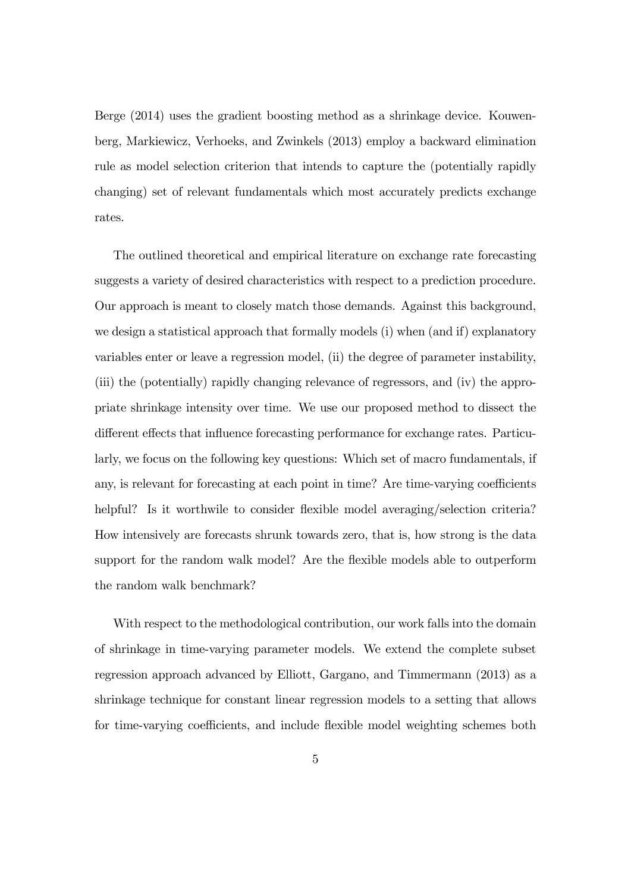Berge (2014) uses the gradient boosting method as a shrinkage device. Kouwenberg, Markiewicz, Verhoeks, and Zwinkels (2013) employ a backward elimination rule as model selection criterion that intends to capture the (potentially rapidly changing) set of relevant fundamentals which most accurately predicts exchange rates.

The outlined theoretical and empirical literature on exchange rate forecasting suggests a variety of desired characteristics with respect to a prediction procedure. Our approach is meant to closely match those demands. Against this background, we design a statistical approach that formally models (i) when (and if) explanatory variables enter or leave a regression model, (ii) the degree of parameter instability, (iii) the (potentially) rapidly changing relevance of regressors, and (iv) the appropriate shrinkage intensity over time. We use our proposed method to dissect the different effects that influence forecasting performance for exchange rates. Particularly, we focus on the following key questions: Which set of macro fundamentals, if any, is relevant for forecasting at each point in time? Are time-varying coefficients helpful? Is it worthwile to consider flexible model averaging/selection criteria? How intensively are forecasts shrunk towards zero, that is, how strong is the data support for the random walk model? Are the flexible models able to outperform the random walk benchmark?

With respect to the methodological contribution, our work falls into the domain of shrinkage in time-varying parameter models. We extend the complete subset regression approach advanced by Elliott, Gargano, and Timmermann (2013) as a shrinkage technique for constant linear regression models to a setting that allows for time-varying coefficients, and include flexible model weighting schemes both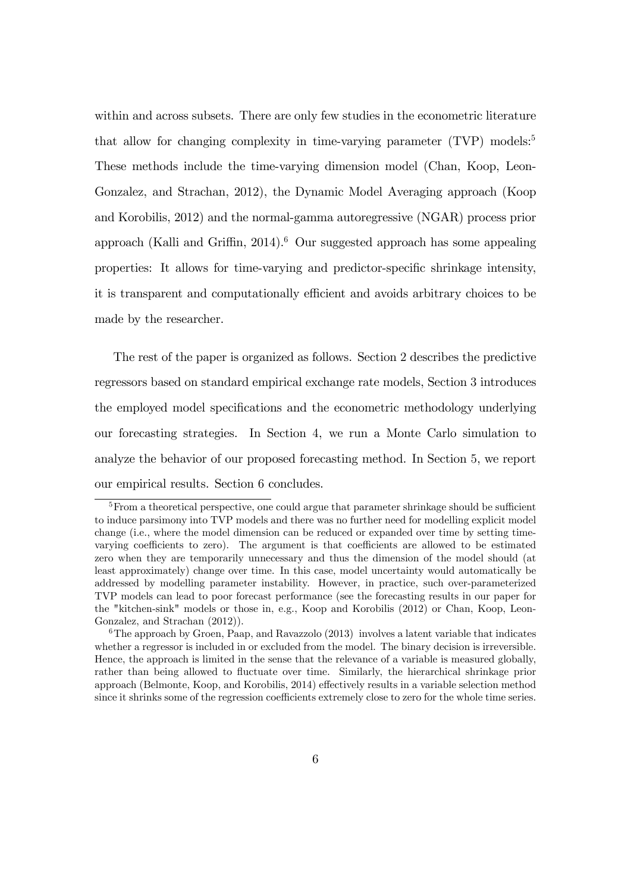within and across subsets. There are only few studies in the econometric literature that allow for changing complexity in time-varying parameter  $(TVP)$  models:<sup>5</sup> These methods include the time-varying dimension model (Chan, Koop, Leon-Gonzalez, and Strachan, 2012), the Dynamic Model Averaging approach (Koop and Korobilis, 2012) and the normal-gamma autoregressive (NGAR) process prior approach (Kalli and Griffin,  $2014$ ).<sup>6</sup> Our suggested approach has some appealing properties: It allows for time-varying and predictor-specific shrinkage intensity, it is transparent and computationally efficient and avoids arbitrary choices to be made by the researcher.

The rest of the paper is organized as follows. Section 2 describes the predictive regressors based on standard empirical exchange rate models, Section 3 introduces the employed model specifications and the econometric methodology underlying our forecasting strategies. In Section 4, we run a Monte Carlo simulation to analyze the behavior of our proposed forecasting method. In Section 5, we report our empirical results. Section 6 concludes.

 $5$ From a theoretical perspective, one could argue that parameter shrinkage should be sufficient to induce parsimony into TVP models and there was no further need for modelling explicit model change (i.e., where the model dimension can be reduced or expanded over time by setting timevarying coefficients to zero). The argument is that coefficients are allowed to be estimated zero when they are temporarily unnecessary and thus the dimension of the model should (at least approximately) change over time. In this case, model uncertainty would automatically be addressed by modelling parameter instability. However, in practice, such over-parameterized TVP models can lead to poor forecast performance (see the forecasting results in our paper for the "kitchen-sink" models or those in, e.g., Koop and Korobilis (2012) or Chan, Koop, Leon-Gonzalez, and Strachan (2012)).

 $6$ The approach by Groen, Paap, and Ravazzolo (2013) involves a latent variable that indicates whether a regressor is included in or excluded from the model. The binary decision is irreversible. Hence, the approach is limited in the sense that the relevance of a variable is measured globally, rather than being allowed to fluctuate over time. Similarly, the hierarchical shrinkage prior approach (Belmonte, Koop, and Korobilis, 2014) effectively results in a variable selection method since it shrinks some of the regression coefficients extremely close to zero for the whole time series.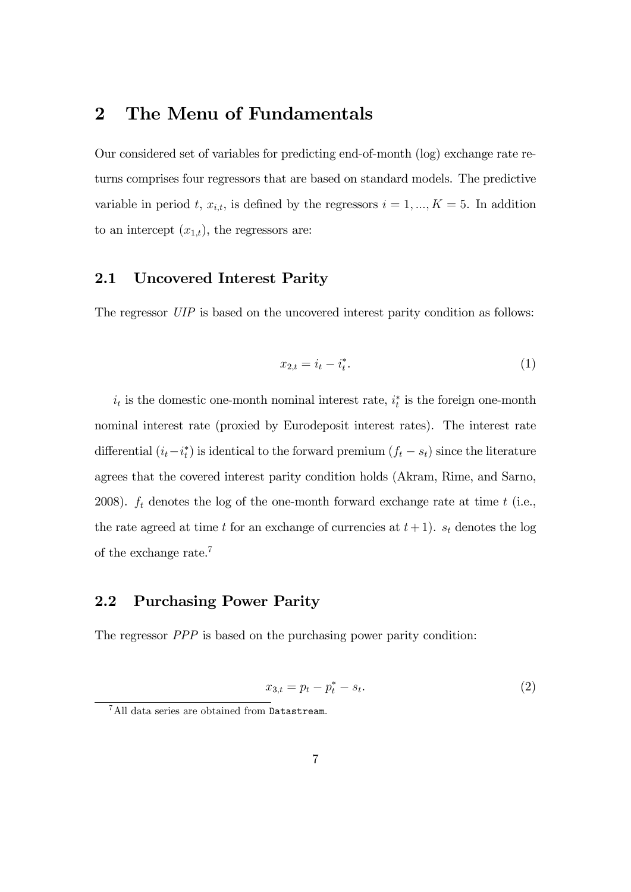## 2 The Menu of Fundamentals

Our considered set of variables for predicting end-of-month (log) exchange rate returns comprises four regressors that are based on standard models. The predictive variable in period t,  $x_{i,t}$ , is defined by the regressors  $i = 1, ..., K = 5$ . In addition to an intercept  $(x_{1,t})$ , the regressors are:

#### 2.1 Uncovered Interest Parity

The regressor UIP is based on the uncovered interest parity condition as follows:

$$
x_{2,t} = i_t - i_t^*.
$$
 (1)

 $i_t$  is the domestic one-month nominal interest rate,  $i_t^*$  is the foreign one-month nominal interest rate (proxied by Eurodeposit interest rates). The interest rate differential  $(i_t - i_t^*)$  is identical to the forward premium  $(f_t - s_t)$  since the literature agrees that the covered interest parity condition holds (Akram, Rime, and Sarno, 2008).  $f_t$  denotes the log of the one-month forward exchange rate at time  $t$  (i.e., the rate agreed at time t for an exchange of currencies at  $t+1$ ).  $s_t$  denotes the log of the exchange rate.<sup>7</sup>

#### 2.2 Purchasing Power Parity

The regressor *PPP* is based on the purchasing power parity condition:

$$
x_{3,t} = p_t - p_t^* - s_t.
$$
 (2)

<sup>7</sup>All data series are obtained from Datastream.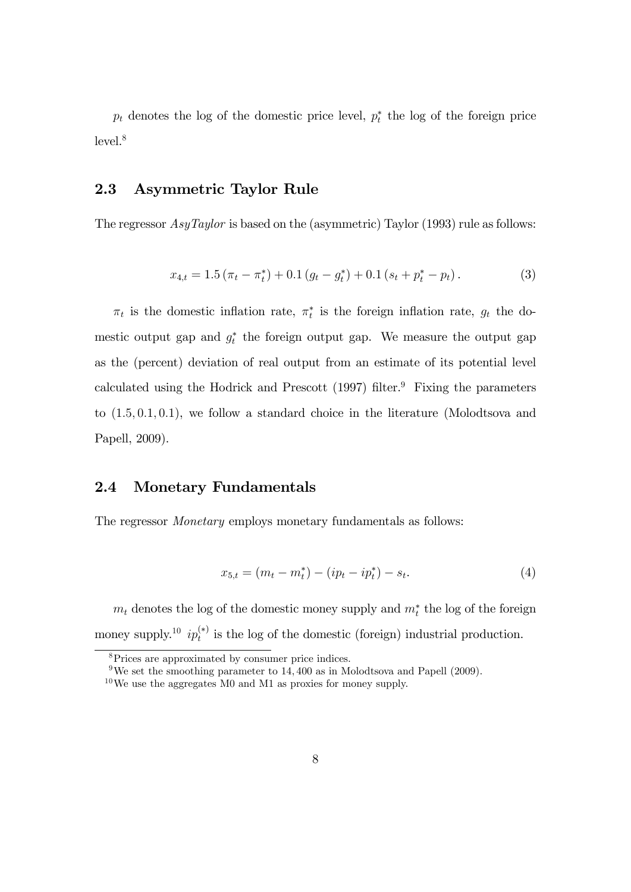$p_t$  denotes the log of the domestic price level,  $p_t^*$  the log of the foreign price level.<sup>8</sup>

#### 2.3 Asymmetric Taylor Rule

The regressor *AsyTaylor* is based on the (asymmetric) Taylor (1993) rule as follows:

$$
x_{4,t} = 1.5 \left( \pi_t - \pi_t^* \right) + 0.1 \left( g_t - g_t^* \right) + 0.1 \left( s_t + p_t^* - p_t \right). \tag{3}
$$

 $\pi_t$  is the domestic inflation rate,  $\pi_t^*$  is the foreign inflation rate,  $g_t$  the domestic output gap and  $g_t^*$  the foreign output gap. We measure the output gap as the (percent) deviation of real output from an estimate of its potential level calculated using the Hodrick and Prescott  $(1997)$  filter.<sup>9</sup> Fixing the parameters to  $(1.5, 0.1, 0.1)$ , we follow a standard choice in the literature (Molodtsova and Papell, 2009).

#### 2.4 Monetary Fundamentals

The regressor Monetary employs monetary fundamentals as follows:

$$
x_{5,t} = (m_t - m_t^*) - (ip_t - ip_t^*) - s_t.
$$
\n<sup>(4)</sup>

 $m_t$  denotes the log of the domestic money supply and  $m_t^*$  the log of the foreign money supply.<sup>10</sup>  $ip_t^{(*)}$  is the log of the domestic (foreign) industrial production.

<sup>&</sup>lt;sup>8</sup>Prices are approximated by consumer price indices.

<sup>&</sup>lt;sup>9</sup>We set the smoothing parameter to  $14,400$  as in Molodtsova and Papell (2009).

 $10$  We use the aggregates M0 and M1 as proxies for money supply.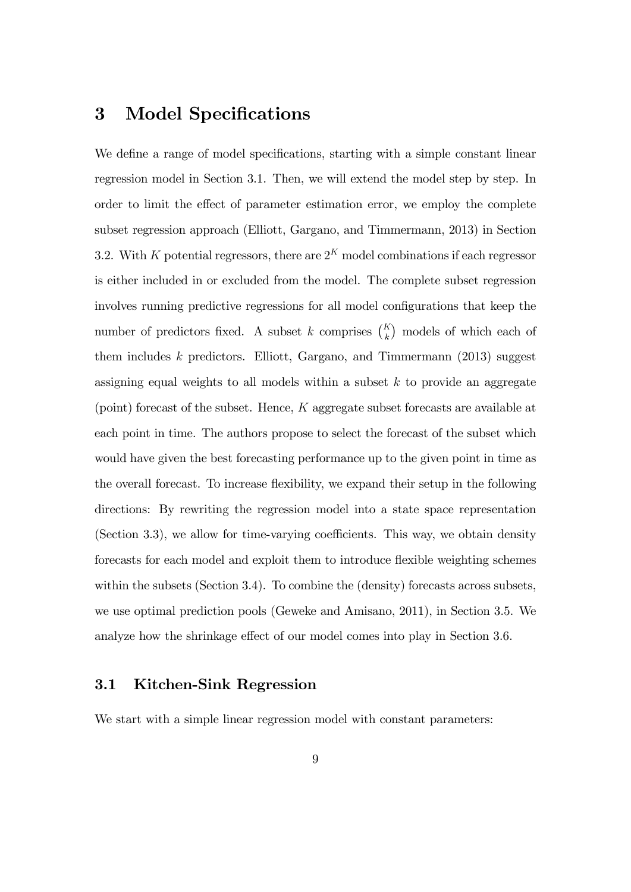## 3 Model Specifications

We define a range of model specifications, starting with a simple constant linear regression model in Section 3.1. Then, we will extend the model step by step. In order to limit the effect of parameter estimation error, we employ the complete subset regression approach (Elliott, Gargano, and Timmermann, 2013) in Section 3.2. With K potential regressors, there are  $2<sup>K</sup>$  model combinations if each regressor is either included in or excluded from the model. The complete subset regression involves running predictive regressions for all model configurations that keep the number of predictors fixed. A subset k comprises  $\binom{K}{k}$  models of which each of them includes k predictors. Elliott, Gargano, and Timmermann  $(2013)$  suggest assigning equal weights to all models within a subset  $k$  to provide an aggregate (point) forecast of the subset. Hence, K aggregate subset forecasts are available at each point in time. The authors propose to select the forecast of the subset which would have given the best forecasting performance up to the given point in time as the overall forecast. To increase flexibility, we expand their setup in the following directions: By rewriting the regression model into a state space representation (Section 3.3), we allow for time-varying coefficients. This way, we obtain density forecasts for each model and exploit them to introduce flexible weighting schemes within the subsets (Section 3.4). To combine the (density) forecasts across subsets, we use optimal prediction pools (Geweke and Amisano, 2011), in Section 3.5. We analyze how the shrinkage effect of our model comes into play in Section 3.6.

#### 3.1 Kitchen-Sink Regression

We start with a simple linear regression model with constant parameters: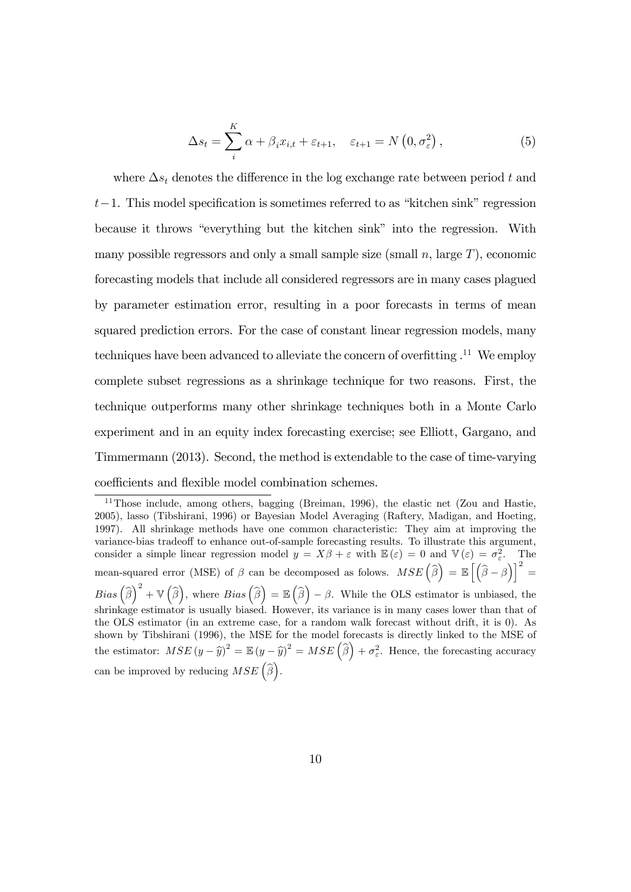$$
\Delta s_t = \sum_{i}^{K} \alpha + \beta_i x_{i,t} + \varepsilon_{t+1}, \quad \varepsilon_{t+1} = N\left(0, \sigma_{\varepsilon}^2\right), \tag{5}
$$

where  $\Delta s_t$  denotes the difference in the log exchange rate between period t and  $t-1$ . This model specification is sometimes referred to as "kitchen sink" regression because it throws "everything but the kitchen sink" into the regression. With many possible regressors and only a small sample size (small  $n$ , large  $T$ ), economic forecasting models that include all considered regressors are in many cases plagued by parameter estimation error, resulting in a poor forecasts in terms of mean squared prediction errors. For the case of constant linear regression models, many techniques have been advanced to alleviate the concern of overfitting  $.11$  We employ complete subset regressions as a shrinkage technique for two reasons. First, the technique outperforms many other shrinkage techniques both in a Monte Carlo experiment and in an equity index forecasting exercise; see Elliott, Gargano, and Timmermann (2013). Second, the method is extendable to the case of time-varying coefficients and flexible model combination schemes.

<sup>&</sup>lt;sup>11</sup>Those include, among others, bagging (Breiman, 1996), the elastic net (Zou and Hastie, 2005), lasso (Tibshirani, 1996) or Bayesian Model Averaging (Raftery, Madigan, and Hoeting, 1997). All shrinkage methods have one common characteristic: They aim at improving the variance-bias tradeoff to enhance out-of-sample forecasting results. To illustrate this argument, consider a simple linear regression model  $y = X\beta + \varepsilon$  with  $\mathbb{E}(\varepsilon) = 0$  and  $\mathbb{V}(\varepsilon) = \sigma_{\varepsilon}^2$ . The mean-squared error (MSE) of  $\beta$  can be decomposed as folows.  $MSE\left(\widehat{\beta}\right) = \mathbb{E}\left[\left(\widehat{\beta} - \beta\right)\right]^2 =$  $Bias\left(\widehat{\beta}\right)^2 + \mathbb{V}\left(\widehat{\beta}\right)$ , where  $Bias\left(\widehat{\beta}\right) = \mathbb{E}\left(\widehat{\beta}\right) - \beta$ . While the OLS estimator is unbiased, the shrinkage estimator is usually biased. However, its variance is in many cases lower than that of the OLS estimator (in an extreme case, for a random walk forecast without drift, it is 0). As shown by Tibshirani (1996), the MSE for the model forecasts is directly linked to the MSE of the estimator:  $MSE(y - \hat{y})^2 = \mathbb{E}(y - \hat{y})^2 = MSE(\hat{\beta}) + \sigma_{\varepsilon}^2$ . Hence, the forecasting accuracy can be improved by reducing  $MSE\left(\widehat{\beta}\right)$ .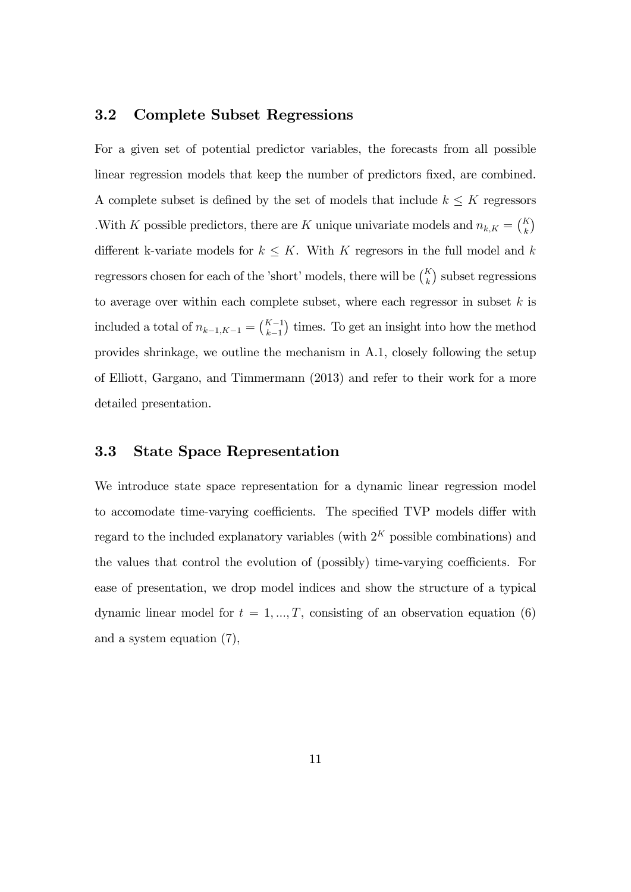#### 3.2 Complete Subset Regressions

For a given set of potential predictor variables, the forecasts from all possible linear regression models that keep the number of predictors fixed, are combined. A complete subset is defined by the set of models that include  $k \leq K$  regressors With K possible predictors, there are K unique univariate models and  $n_{k,K} = \binom{K}{k}$ different k-variate models for  $k \leq K$ . With K regresors in the full model and k regressors chosen for each of the 'short' models, there will be  $\binom{K}{k}$  subset regressions to average over within each complete subset, where each regressor in subset  $k$  is included a total of  $n_{k-1,K-1} = {K-1 \choose k-1}$  $k-1$ ) times. To get an insight into how the method provides shrinkage, we outline the mechanism in A.1, closely following the setup of Elliott, Gargano, and Timmermann (2013) and refer to their work for a more detailed presentation.

#### 3.3 State Space Representation

We introduce state space representation for a dynamic linear regression model to accomodate time-varying coefficients. The specified TVP models differ with regard to the included explanatory variables (with  $2<sup>K</sup>$  possible combinations) and the values that control the evolution of (possibly) time-varying coefficients. For ease of presentation, we drop model indices and show the structure of a typical dynamic linear model for  $t = 1, ..., T$ , consisting of an observation equation (6) and a system equation (7),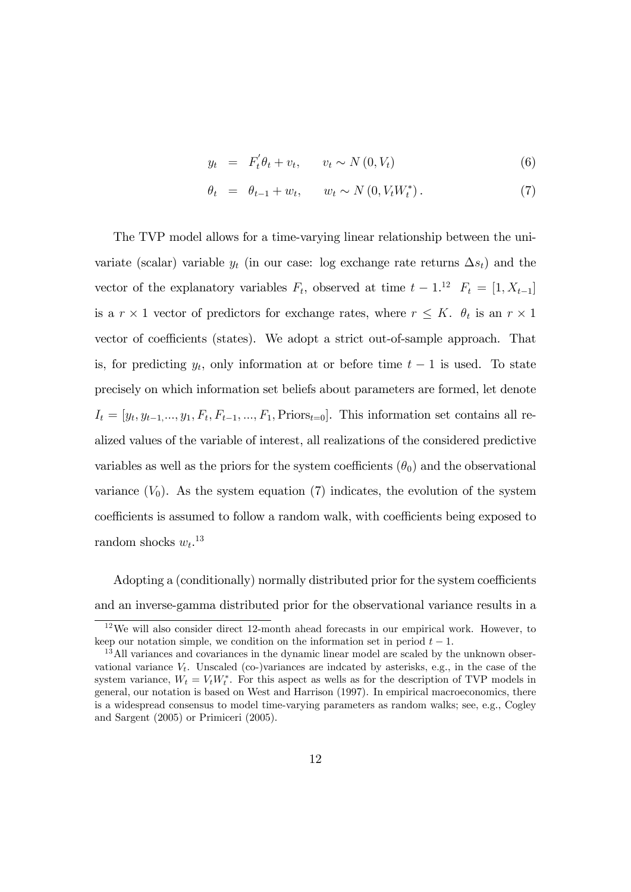$$
y_t = F_t' \theta_t + v_t, \qquad v_t \sim N(0, V_t) \tag{6}
$$

$$
\theta_t = \theta_{t-1} + w_t, \qquad w_t \sim N(0, V_t W_t^*). \tag{7}
$$

The TVP model allows for a time-varying linear relationship between the univariate (scalar) variable  $y_t$  (in our case: log exchange rate returns  $\Delta s_t$ ) and the vector of the explanatory variables  $F_t$ , observed at time  $t-1$ .<sup>12</sup>  $F_t = [1, X_{t-1}]$ is a  $r \times 1$  vector of predictors for exchange rates, where  $r \leq K$ .  $\theta_t$  is an  $r \times 1$ vector of coefficients (states). We adopt a strict out-of-sample approach. That is, for predicting  $y_t$ , only information at or before time  $t-1$  is used. To state precisely on which information set beliefs about parameters are formed, let denote  $I_t = [y_t, y_{t-1}, \ldots, y_1, F_t, F_{t-1}, \ldots, F_1, \text{Priors}_{t=0}]$ . This information set contains all realized values of the variable of interest, all realizations of the considered predictive variables as well as the priors for the system coefficients  $(\theta_0)$  and the observational variance  $(V_0)$ . As the system equation (7) indicates, the evolution of the system coefficients is assumed to follow a random walk, with coefficients being exposed to random shocks  $w_t$ <sup>13</sup>

Adopting a (conditionally) normally distributed prior for the system coefficients and an inverse-gamma distributed prior for the observational variance results in a

 $12\,\text{We will also consider direct } 12\text{-month ahead forecasts in our empirical work. However, to$ keep our notation simple, we condition on the information set in period  $t - 1$ .

<sup>&</sup>lt;sup>13</sup>All variances and covariances in the dynamic linear model are scaled by the unknown observational variance  $V_t$ . Unscaled (co-)variances are indcated by asterisks, e.g., in the case of the system variance,  $W_t = V_t W_t^*$ . For this aspect as wells as for the description of TVP models in general, our notation is based on West and Harrison (1997). In empirical macroeconomics, there is a widespread consensus to model time-varying parameters as random walks; see, e.g., Cogley and Sargent (2005) or Primiceri (2005).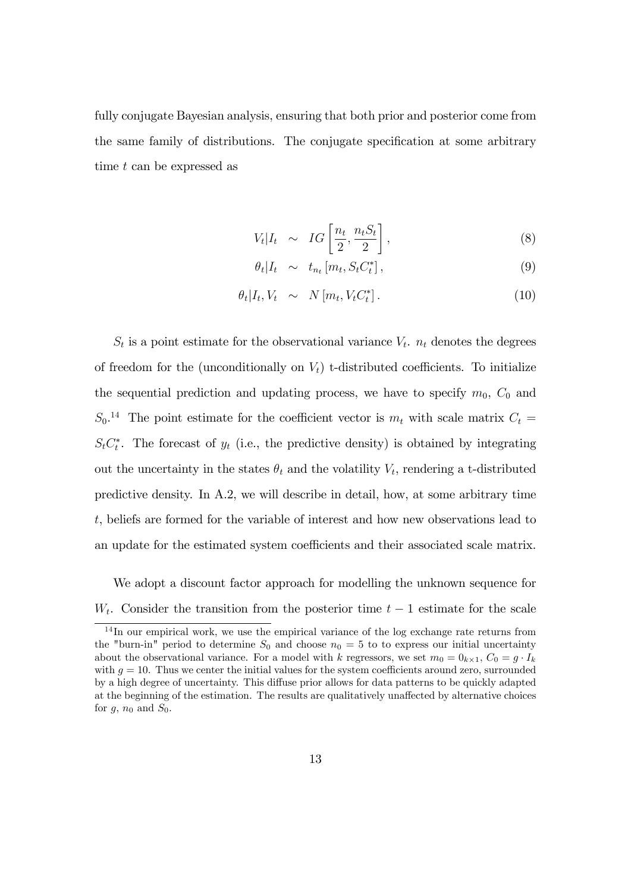fully conjugate Bayesian analysis, ensuring that both prior and posterior come from the same family of distributions. The conjugate specification at some arbitrary time t can be expressed as

$$
V_t | I_t \sim IG\left[\frac{n_t}{2}, \frac{n_t S_t}{2}\right],
$$
\n(8)

$$
\theta_t | I_t \sim t_{n_t} [m_t, S_t C_t^*], \qquad (9)
$$

$$
\theta_t | I_t, V_t \sim N[m_t, V_t C_t^*]. \tag{10}
$$

 $S_t$  is a point estimate for the observational variance  $V_t$ .  $n_t$  denotes the degrees of freedom for the (unconditionally on  $V_t$ ) t-distributed coefficients. To initialize the sequential prediction and updating process, we have to specify  $m_0$ ,  $C_0$  and  $S_0$ <sup>14</sup> The point estimate for the coefficient vector is  $m_t$  with scale matrix  $C_t$  $S_t C_t^*$ . The forecast of  $y_t$  (i.e., the predictive density) is obtained by integrating out the uncertainty in the states  $\theta_t$  and the volatility  $V_t$ , rendering a t-distributed predictive density. In A.2, we will describe in detail, how, at some arbitrary time t, beliefs are formed for the variable of interest and how new observations lead to an update for the estimated system coefficients and their associated scale matrix.

We adopt a discount factor approach for modelling the unknown sequence for  $W_t$ . Consider the transition from the posterior time  $t-1$  estimate for the scale

 $14$  In our empirical work, we use the empirical variance of the log exchange rate returns from the "burn-in" period to determine  $S_0$  and choose  $n_0 = 5$  to to express our initial uncertainty about the observational variance. For a model with k regressors, we set  $m_0 = 0_{k \times 1}$ ,  $C_0 = g \cdot I_k$ with  $g = 10$ . Thus we center the initial values for the system coefficients around zero, surrounded by a high degree of uncertainty. This diffuse prior allows for data patterns to be quickly adapted at the beginning of the estimation. The results are qualitatively unaffected by alternative choices for  $g$ ,  $n_0$  and  $S_0$ .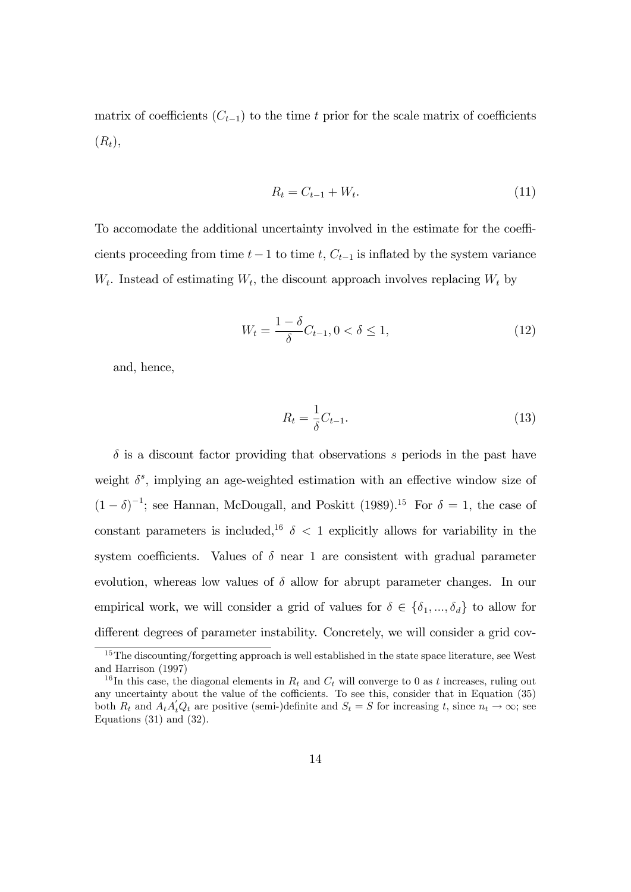matrix of coefficients  $(C_{t-1})$  to the time t prior for the scale matrix of coefficients  $(R_t),$ 

$$
R_t = C_{t-1} + W_t.
$$
\n(11)

To accomodate the additional uncertainty involved in the estimate for the coefficients proceeding from time  $t-1$  to time t,  $C_{t-1}$  is inflated by the system variance  $W_t$ . Instead of estimating  $W_t$ , the discount approach involves replacing  $W_t$  by

$$
W_t = \frac{1 - \delta}{\delta} C_{t-1}, 0 < \delta \le 1,\tag{12}
$$

and, hence,

$$
R_t = \frac{1}{\delta} C_{t-1}.\tag{13}
$$

 $\delta$  is a discount factor providing that observations s periods in the past have weight  $\delta^s$ , implying an age-weighted estimation with an effective window size of  $(1 - \delta)^{-1}$ ; see Hannan, McDougall, and Poskitt (1989).<sup>15</sup> For  $\delta = 1$ , the case of constant parameters is included,<sup>16</sup>  $\delta$  < 1 explicitly allows for variability in the system coefficients. Values of  $\delta$  near 1 are consistent with gradual parameter evolution, whereas low values of  $\delta$  allow for abrupt parameter changes. In our empirical work, we will consider a grid of values for  $\delta \in {\delta_1, ..., \delta_d}$  to allow for different degrees of parameter instability. Concretely, we will consider a grid cov-

<sup>&</sup>lt;sup>15</sup>The discounting/forgetting approach is well established in the state space literature, see West and Harrison (1997)

<sup>&</sup>lt;sup>16</sup>In this case, the diagonal elements in  $R_t$  and  $C_t$  will converge to 0 as t increases, ruling out any uncertainty about the value of the cofficients. To see this, consider that in Equation  $(35)$ both  $R_t$  and  $A_t A_t Q_t$  are positive (semi-)definite and  $S_t = S$  for increasing t, since  $n_t \to \infty$ ; see Equations  $(31)$  and  $(32)$ .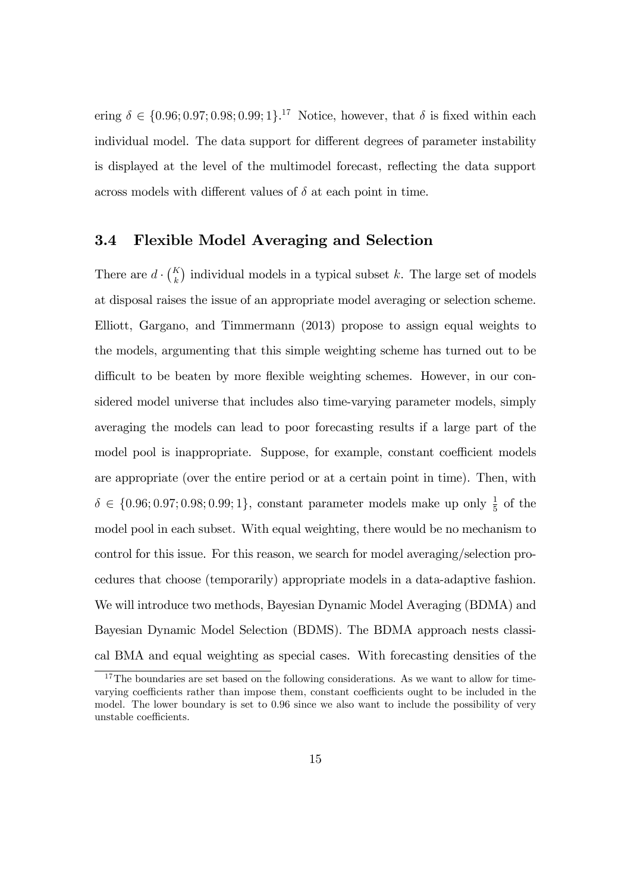ering  $\delta \in \{0.96; 0.97; 0.98; 0.99; 1\}$ <sup>17</sup> Notice, however, that  $\delta$  is fixed within each individual model. The data support for different degrees of parameter instability is displayed at the level of the multimodel forecast, reflecting the data support across models with different values of  $\delta$  at each point in time.

#### 3.4 Flexible Model Averaging and Selection

There are  $d \cdot {K \choose k}$  individual models in a typical subset k. The large set of models at disposal raises the issue of an appropriate model averaging or selection scheme. Elliott, Gargano, and Timmermann (2013) propose to assign equal weights to the models, argumenting that this simple weighting scheme has turned out to be difficult to be beaten by more flexible weighting schemes. However, in our considered model universe that includes also time-varying parameter models, simply averaging the models can lead to poor forecasting results if a large part of the model pool is inappropriate. Suppose, for example, constant coefficient models are appropriate (over the entire period or at a certain point in time). Then, with  $\delta \in \{0.96; 0.97; 0.98; 0.99; 1\},$  constant parameter models make up only  $\frac{1}{5}$  of the model pool in each subset. With equal weighting, there would be no mechanism to control for this issue. For this reason, we search for model averaging/selection procedures that choose (temporarily) appropriate models in a data-adaptive fashion. We will introduce two methods, Bayesian Dynamic Model Averaging (BDMA) and Bayesian Dynamic Model Selection (BDMS). The BDMA approach nests classical BMA and equal weighting as special cases. With forecasting densities of the

<sup>&</sup>lt;sup>17</sup>The boundaries are set based on the following considerations. As we want to allow for timevarying coefficients rather than impose them, constant coefficients ought to be included in the model. The lower boundary is set to 0:96 since we also want to include the possibility of very unstable coefficients.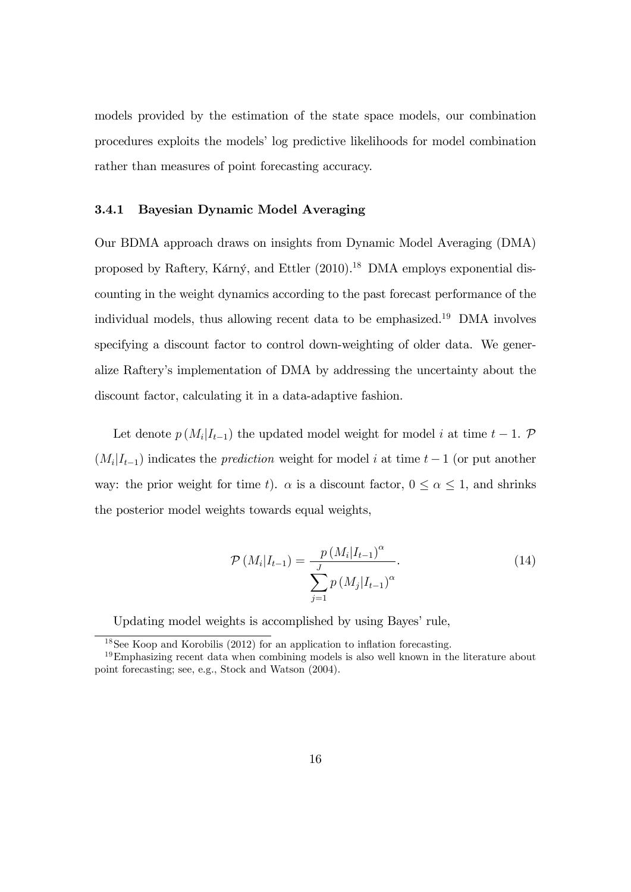models provided by the estimation of the state space models, our combination procedures exploits the models' log predictive likelihoods for model combination rather than measures of point forecasting accuracy.

#### 3.4.1 Bayesian Dynamic Model Averaging

Our BDMA approach draws on insights from Dynamic Model Averaging (DMA) proposed by Raftery, Kárný, and Ettler  $(2010).^{18}$  DMA employs exponential discounting in the weight dynamics according to the past forecast performance of the individual models, thus allowing recent data to be emphasized.<sup>19</sup> DMA involves specifying a discount factor to control down-weighting of older data. We generalize Rafteryís implementation of DMA by addressing the uncertainty about the discount factor, calculating it in a data-adaptive fashion.

Let denote  $p(M_i|I_{t-1})$  the updated model weight for model i at time  $t-1$ .  $\mathcal{P}$  $(M_i|I_{t-1})$  indicates the *prediction* weight for model i at time  $t-1$  (or put another way: the prior weight for time t).  $\alpha$  is a discount factor,  $0 \le \alpha \le 1$ , and shrinks the posterior model weights towards equal weights,

$$
\mathcal{P}(M_i|I_{t-1}) = \frac{p(M_i|I_{t-1})^{\alpha}}{\sum_{j=1}^{J} p(M_j|I_{t-1})^{\alpha}}.
$$
\n(14)

Updating model weights is accomplished by using Bayes' rule,

 $18$ See Koop and Korobilis (2012) for an application to inflation forecasting.

 $19$ Emphasizing recent data when combining models is also well known in the literature about point forecasting; see, e.g., Stock and Watson (2004).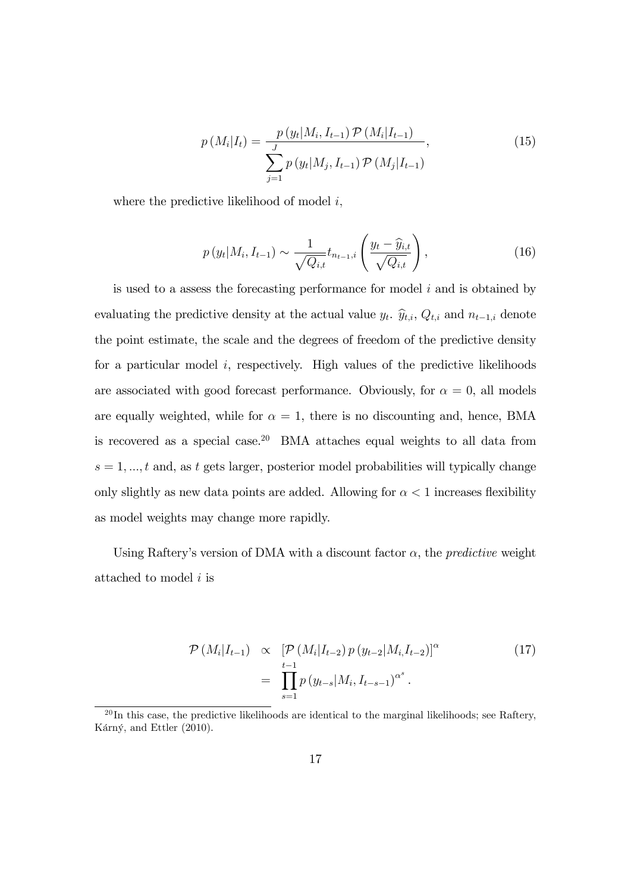$$
p(M_i|I_t) = \frac{p(y_t|M_i, I_{t-1}) \mathcal{P}(M_i|I_{t-1})}{\sum_{j=1}^{J} p(y_t|M_j, I_{t-1}) \mathcal{P}(M_j|I_{t-1})},
$$
\n(15)

where the predictive likelihood of model  $i$ ,

$$
p(y_t|M_i, I_{t-1}) \sim \frac{1}{\sqrt{Q_{i,t}}} t_{n_{t-1},i} \left(\frac{y_t - \widehat{y}_{i,t}}{\sqrt{Q_{i,t}}}\right),
$$
 (16)

is used to a assess the forecasting performance for model  $i$  and is obtained by evaluating the predictive density at the actual value  $y_t$ .  $\hat{y}_{t,i}$ ,  $Q_{t,i}$  and  $n_{t-1,i}$  denote the point estimate, the scale and the degrees of freedom of the predictive density for a particular model  $i$ , respectively. High values of the predictive likelihoods are associated with good forecast performance. Obviously, for  $\alpha = 0$ , all models are equally weighted, while for  $\alpha = 1$ , there is no discounting and, hence, BMA is recovered as a special case.<sup>20</sup> BMA attaches equal weights to all data from  $s = 1, \ldots, t$  and, as t gets larger, posterior model probabilities will typically change only slightly as new data points are added. Allowing for  $\alpha < 1$  increases flexibility as model weights may change more rapidly.

Using Raftery's version of DMA with a discount factor  $\alpha$ , the *predictive* weight attached to model i is

$$
\mathcal{P}(M_i|I_{t-1}) \propto \left[ \mathcal{P}(M_i|I_{t-2}) p(y_{t-2}|M_i, I_{t-2}) \right]^{\alpha}
$$
\n
$$
= \prod_{s=1}^{t-1} p(y_{t-s}|M_i, I_{t-s-1})^{\alpha^s}.
$$
\n(17)

 $^{20}$ In this case, the predictive likelihoods are identical to the marginal likelihoods; see Raftery, Kárný, and Ettler (2010).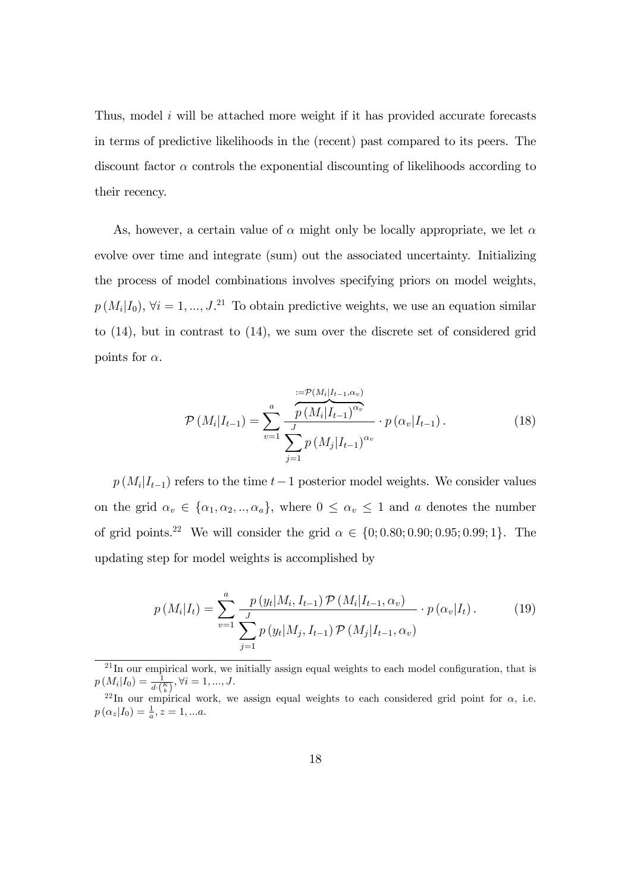Thus, model i will be attached more weight if it has provided accurate forecasts in terms of predictive likelihoods in the (recent) past compared to its peers. The discount factor  $\alpha$  controls the exponential discounting of likelihoods according to their recency.

As, however, a certain value of  $\alpha$  might only be locally appropriate, we let  $\alpha$ evolve over time and integrate (sum) out the associated uncertainty. Initializing the process of model combinations involves specifying priors on model weights,  $p(M_i|I_0)$ ,  $\forall i = 1, ..., J$ <sup>21</sup> To obtain predictive weights, we use an equation similar to (14), but in contrast to (14), we sum over the discrete set of considered grid points for  $\alpha$ .

$$
\mathcal{P}\left(M_i|I_{t-1}\right) = \sum_{v=1}^{a} \frac{\overbrace{p\left(M_i|I_{t-1},\alpha_v\right)}^{:=\mathcal{P}\left(M_i|I_{t-1}\right)^{\alpha_v}}^{=\mathcal{P}\left(M_i|I_{t-1}\right)^{\alpha_v}} \cdot p\left(\alpha_v|I_{t-1}\right). \tag{18}
$$

 $p(M_i|I_{t-1})$  refers to the time  $t-1$  posterior model weights. We consider values on the grid  $\alpha_v \in {\alpha_1, \alpha_2, ..., \alpha_a}$ , where  $0 \leq \alpha_v \leq 1$  and a denotes the number of grid points.<sup>22</sup> We will consider the grid  $\alpha \in \{0; 0.80; 0.90; 0.95; 0.99; 1\}$ . The updating step for model weights is accomplished by

$$
p(M_i|I_t) = \sum_{v=1}^{a} \frac{p(y_t|M_i, I_{t-1}) \mathcal{P}(M_i|I_{t-1}, \alpha_v)}{\sum_{j=1}^{J} p(y_t|M_j, I_{t-1}) \mathcal{P}(M_j|I_{t-1}, \alpha_v)} \cdot p(\alpha_v|I_t).
$$
 (19)

 $^{21}$ In our empirical work, we initially assign equal weights to each model configuration, that is  $p(M_i|I_0) = \frac{1}{d\cdot\binom{K}{k}}, \forall i = 1, ..., J.$ 

<sup>&</sup>lt;sup>22</sup>In our empirical work, we assign equal weights to each considered grid point for  $\alpha$ , i.e.  $p(\alpha_z|I_0) = \frac{1}{a}, z = 1, ...a.$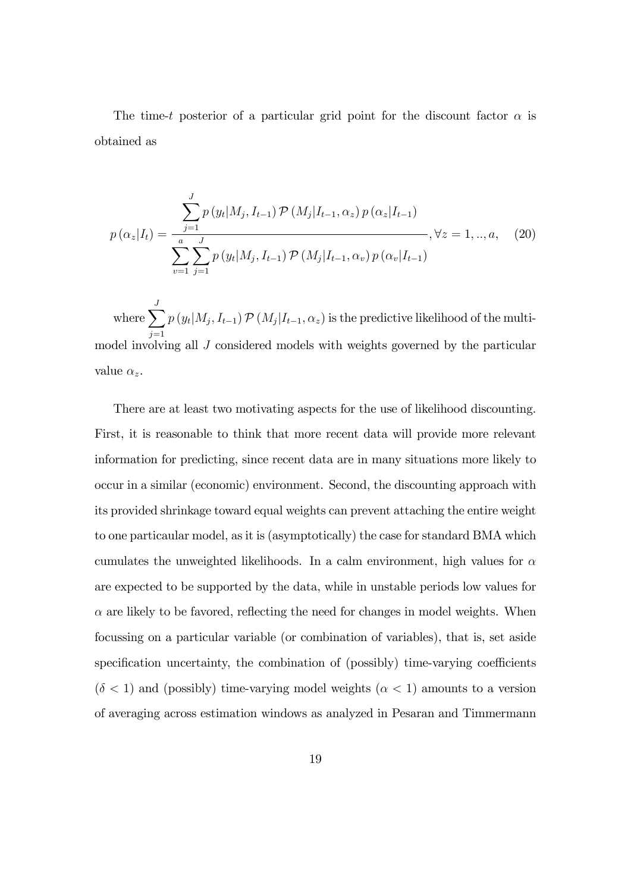The time-t posterior of a particular grid point for the discount factor  $\alpha$  is obtained as

$$
p(\alpha_z|I_t) = \frac{\sum_{j=1}^J p(y_t|M_j, I_{t-1}) \mathcal{P}(M_j|I_{t-1}, \alpha_z) p(\alpha_z|I_{t-1})}{\sum_{v=1}^a \sum_{j=1}^J p(y_t|M_j, I_{t-1}) \mathcal{P}(M_j|I_{t-1}, \alpha_v) p(\alpha_v|I_{t-1})}, \forall z = 1, ..., a,
$$
 (20)

where  $\sum_{i=1}^{J}$  $j=1$  $p(y_t|M_j, I_{t-1}) \mathcal{P}(M_j|I_{t-1}, \alpha_z)$  is the predictive likelihood of the multimodel involving all J considered models with weights governed by the particular value  $\alpha_z$ .

There are at least two motivating aspects for the use of likelihood discounting. First, it is reasonable to think that more recent data will provide more relevant information for predicting, since recent data are in many situations more likely to occur in a similar (economic) environment. Second, the discounting approach with its provided shrinkage toward equal weights can prevent attaching the entire weight to one particaular model, as it is (asymptotically) the case for standard BMA which cumulates the unweighted likelihoods. In a calm environment, high values for  $\alpha$ are expected to be supported by the data, while in unstable periods low values for  $\alpha$  are likely to be favored, reflecting the need for changes in model weights. When focussing on a particular variable (or combination of variables), that is, set aside specification uncertainty, the combination of (possibly) time-varying coefficients  $(\delta < 1)$  and (possibly) time-varying model weights  $(\alpha < 1)$  amounts to a version of averaging across estimation windows as analyzed in Pesaran and Timmermann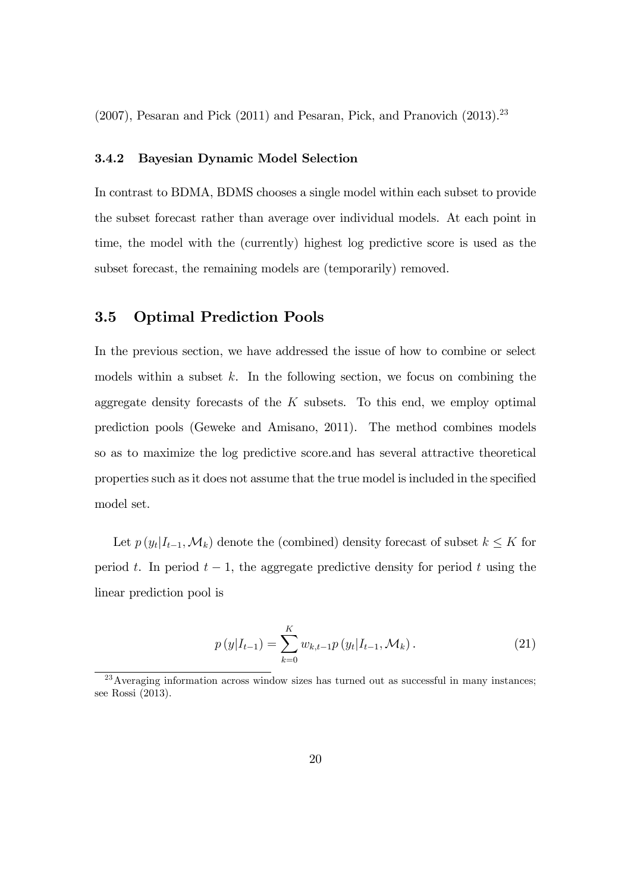$(2007)$ , Pesaran and Pick  $(2011)$  and Pesaran, Pick, and Pranovich  $(2013)$ <sup>23</sup>

#### 3.4.2 Bayesian Dynamic Model Selection

In contrast to BDMA, BDMS chooses a single model within each subset to provide the subset forecast rather than average over individual models. At each point in time, the model with the (currently) highest log predictive score is used as the subset forecast, the remaining models are (temporarily) removed.

#### 3.5 Optimal Prediction Pools

In the previous section, we have addressed the issue of how to combine or select models within a subset  $k$ . In the following section, we focus on combining the aggregate density forecasts of the  $K$  subsets. To this end, we employ optimal prediction pools (Geweke and Amisano, 2011). The method combines models so as to maximize the log predictive score.and has several attractive theoretical properties such as it does not assume that the true model is included in the specified model set.

Let  $p(y_t|I_{t-1}, \mathcal{M}_k)$  denote the (combined) density forecast of subset  $k \leq K$  for period t. In period  $t-1$ , the aggregate predictive density for period t using the linear prediction pool is

$$
p(y|I_{t-1}) = \sum_{k=0}^{K} w_{k,t-1} p(y_t|I_{t-1}, \mathcal{M}_k).
$$
 (21)

 $^{23}$ Averaging information across window sizes has turned out as successful in many instances; see Rossi (2013).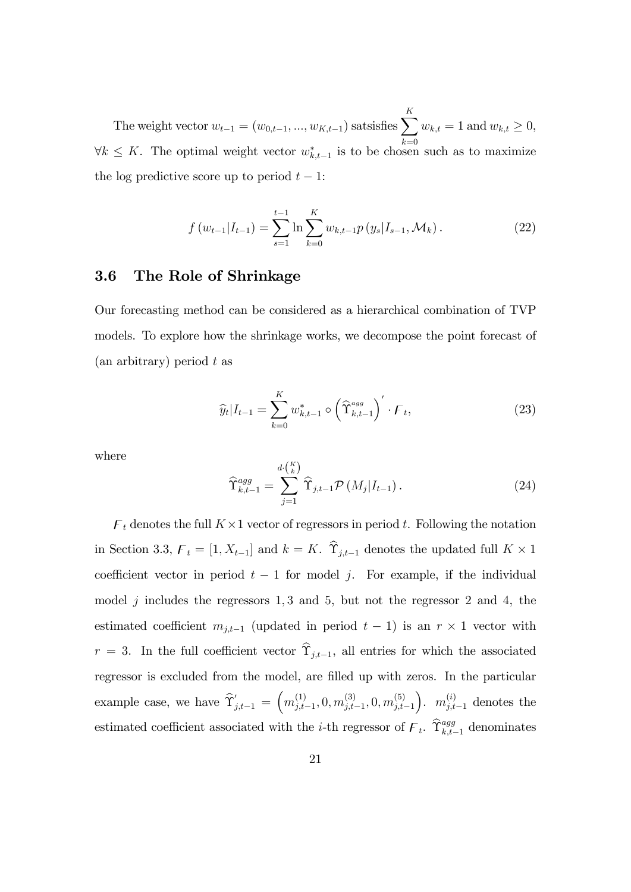The weight vector  $w_{t-1} = (w_{0,t-1}, ..., w_{K,t-1})$  satsisfies  $\sum_{k=1}^{K}$  $k=0$  $w_{k,t} = 1$  and  $w_{k,t} \ge 0$ ,  $\forall k \leq K$ . The optimal weight vector  $w_{k,t-1}^*$  is to be chosen such as to maximize the log predictive score up to period  $t - 1$ :

$$
f(w_{t-1}|I_{t-1}) = \sum_{s=1}^{t-1} \ln \sum_{k=0}^{K} w_{k,t-1} p(y_s|I_{s-1}, \mathcal{M}_k).
$$
 (22)

#### 3.6 The Role of Shrinkage

Our forecasting method can be considered as a hierarchical combination of TVP models. To explore how the shrinkage works, we decompose the point forecast of  $(an$  arbitrary) period t as

$$
\widehat{y}_t | I_{t-1} = \sum_{k=0}^K w_{k,t-1}^* \circ \left( \widehat{\Upsilon}_{k,t-1}^{agg} \right)' \cdot \digamma_t,
$$
\n(23)

where

$$
\widehat{\Upsilon}_{k,t-1}^{agg} = \sum_{j=1}^{d \cdot \binom{K}{k}} \widehat{\Upsilon}_{j,t-1} \mathcal{P}\left(M_j | I_{t-1}\right). \tag{24}
$$

 $\mathcal{F}_t$  denotes the full  $K \times 1$  vector of regressors in period t. Following the notation in Section 3.3,  $\mathcal{F}_t = [1, X_{t-1}]$  and  $k = K$ .  $\Upsilon_{j,t-1}$  denotes the updated full  $K \times 1$ coefficient vector in period  $t - 1$  for model j. For example, if the individual model  $j$  includes the regressors 1, 3 and 5, but not the regressor 2 and 4, the estimated coefficient  $m_{j,t-1}$  (updated in period  $t-1$ ) is an  $r \times 1$  vector with  $r = 3$ . In the full coefficient vector  $\hat{\Upsilon}_{i,t-1}$ , all entries for which the associated regressor is excluded from the model, are filled up with zeros. In the particular example case, we have  $\hat{\Upsilon}'_{j,t-1} = \left(m_{j,t}^{(1)}\right)$  $j_{j,t-1}^{(1)}, 0, m_{j,t}^{(3)}$  $_{j,t-1}^{(3)}, 0, m_{j,t}^{(5)}$  $_{j,t-1}$ ).  $m_{j,t-1}^{(i)}$  denotes the estimated coefficient associated with the *i*-th regressor of  $\mathcal{F}_t$ .  $\hat{\Upsilon}_{k,t-1}^{agg}$  denominates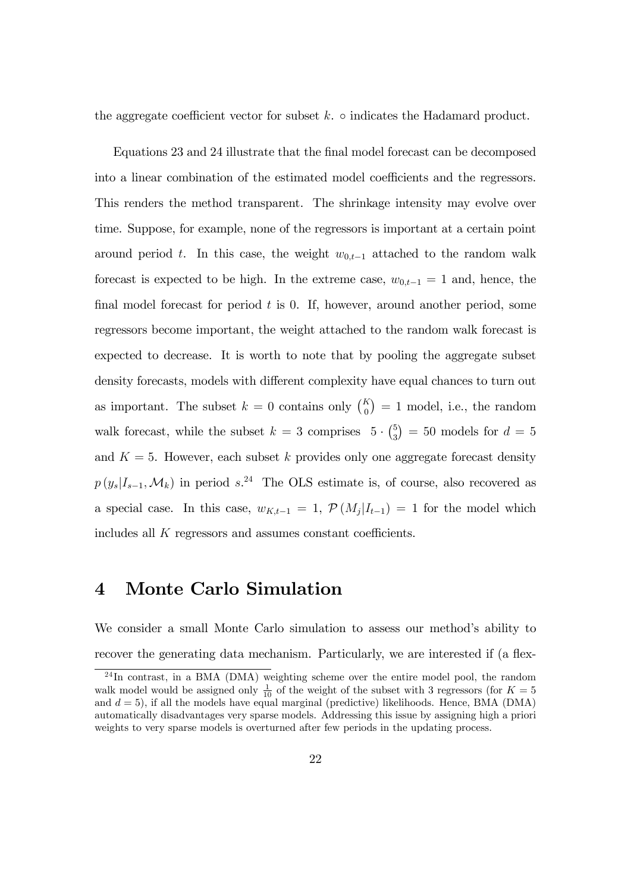the aggregate coefficient vector for subset  $k$ .  $\circ$  indicates the Hadamard product.

Equations 23 and 24 illustrate that the Önal model forecast can be decomposed into a linear combination of the estimated model coefficients and the regressors. This renders the method transparent. The shrinkage intensity may evolve over time. Suppose, for example, none of the regressors is important at a certain point around period t. In this case, the weight  $w_{0,t-1}$  attached to the random walk forecast is expected to be high. In the extreme case,  $w_{0,t-1} = 1$  and, hence, the final model forecast for period  $t$  is 0. If, however, around another period, some regressors become important, the weight attached to the random walk forecast is expected to decrease. It is worth to note that by pooling the aggregate subset density forecasts, models with different complexity have equal chances to turn out as important. The subset  $k = 0$  contains only  $\binom{K}{0} = 1$  model, i.e., the random walk forecast, while the subset  $k = 3$  comprises  $5 \cdot {5 \choose 3}$  $_{3}^{5}$ ) = 50 models for  $d = 5$ and  $K = 5$ . However, each subset k provides only one aggregate forecast density  $p(y_s|I_{s-1},\mathcal{M}_k)$  in period  $s^{24}$  The OLS estimate is, of course, also recovered as a special case. In this case,  $w_{K,t-1} = 1$ ,  $\mathcal{P}(M_j | I_{t-1}) = 1$  for the model which includes all  $K$  regressors and assumes constant coefficients.

### 4 Monte Carlo Simulation

We consider a small Monte Carlo simulation to assess our method's ability to recover the generating data mechanism. Particularly, we are interested if (a flex-

<sup>&</sup>lt;sup>24</sup>In contrast, in a BMA (DMA) weighting scheme over the entire model pool, the random walk model would be assigned only  $\frac{1}{10}$  of the weight of the subset with 3 regressors (for  $K = 5$ and  $d = 5$ ), if all the models have equal marginal (predictive) likelihoods. Hence, BMA (DMA) automatically disadvantages very sparse models. Addressing this issue by assigning high a priori weights to very sparse models is overturned after few periods in the updating process.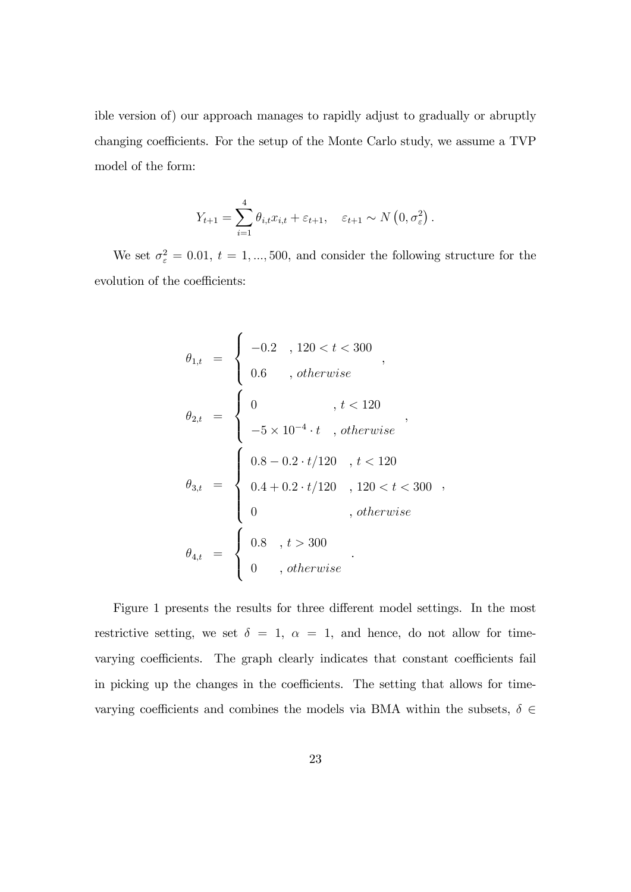ible version of) our approach manages to rapidly adjust to gradually or abruptly changing coefficients. For the setup of the Monte Carlo study, we assume a TVP model of the form:

$$
Y_{t+1} = \sum_{i=1}^{4} \theta_{i,t} x_{i,t} + \varepsilon_{t+1}, \quad \varepsilon_{t+1} \sim N\left(0, \sigma_{\varepsilon}^{2}\right).
$$

We set  $\sigma_{\varepsilon}^2 = 0.01, t = 1, ..., 500$ , and consider the following structure for the evolution of the coefficients:

$$
\theta_{1,t} = \begin{cases}\n-0.2, 120 < t < 300 \\
0.6, 0, otherwise\n\end{cases},
$$
\n
$$
\theta_{2,t} = \begin{cases}\n0, t < 120 \\
-5 \times 10^{-4} \cdot t, otherwise\n\end{cases},
$$
\n
$$
\theta_{3,t} = \begin{cases}\n0.8 - 0.2 \cdot t / 120, t < 120 \\
0.4 + 0.2 \cdot t / 120, 120 < t < 300 \\
0, otherwise\n\end{cases},
$$
\n
$$
\theta_{4,t} = \begin{cases}\n0.8, t > 300 \\
0, otherwise\n\end{cases}
$$

Figure 1 presents the results for three different model settings. In the most restrictive setting, we set  $\delta = 1, \alpha = 1$ , and hence, do not allow for timevarying coefficients. The graph clearly indicates that constant coefficients fail in picking up the changes in the coefficients. The setting that allows for timevarying coefficients and combines the models via BMA within the subsets,  $\delta \in$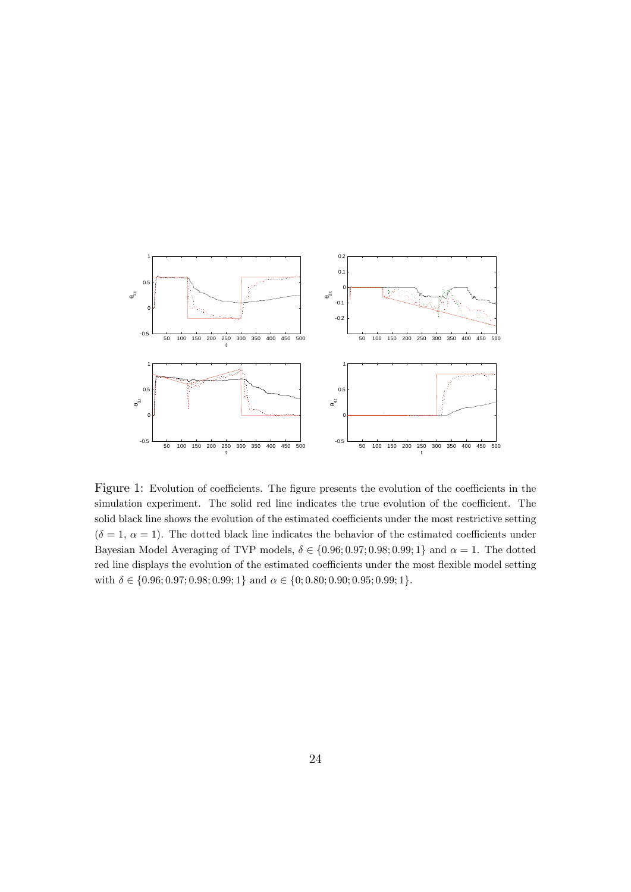

Figure 1: Evolution of coefficients. The figure presents the evolution of the coefficients in the simulation experiment. The solid red line indicates the true evolution of the coefficient. The solid black line shows the evolution of the estimated coefficients under the most restrictive setting  $(\delta = 1, \alpha = 1)$ . The dotted black line indicates the behavior of the estimated coefficients under Bayesian Model Averaging of TVP models,  $\delta \in \{0.96; 0.97; 0.98; 0.99; 1\}$  and  $\alpha = 1$ . The dotted red line displays the evolution of the estimated coefficients under the most flexible model setting with  $\delta \in \{0.96; 0.97; 0.98; 0.99; 1\}$  and  $\alpha \in \{0; 0.80; 0.90; 0.95; 0.99; 1\}.$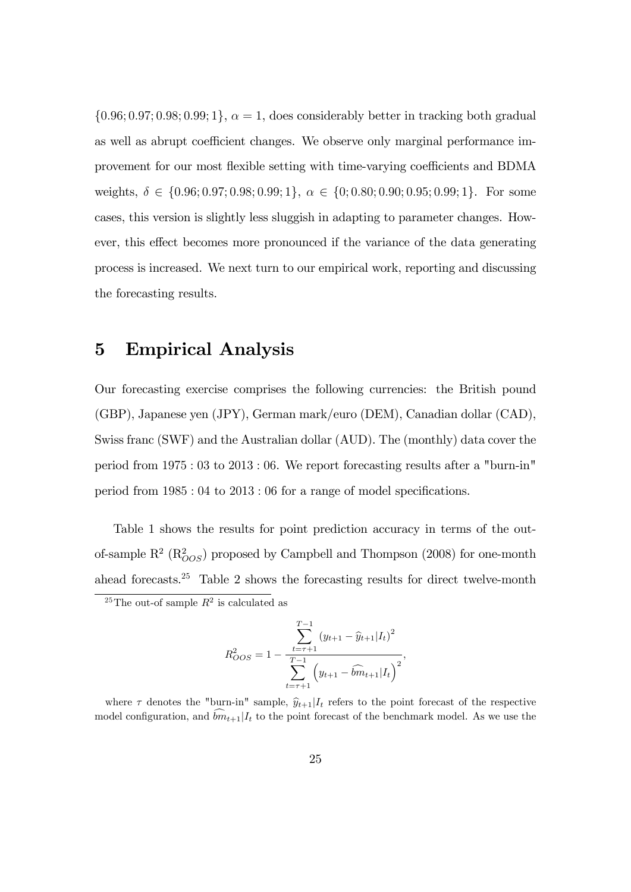$\{0.96; 0.97; 0.98; 0.99; 1\}, \alpha = 1$ , does considerably better in tracking both gradual as well as abrupt coefficient changes. We observe only marginal performance improvement for our most flexible setting with time-varying coefficients and BDMA weights,  $\delta \in \{0.96; 0.97; 0.98; 0.99; 1\}, \alpha \in \{0; 0.80; 0.90; 0.95; 0.99; 1\}.$  For some cases, this version is slightly less sluggish in adapting to parameter changes. However, this effect becomes more pronounced if the variance of the data generating process is increased. We next turn to our empirical work, reporting and discussing the forecasting results.

## 5 Empirical Analysis

Our forecasting exercise comprises the following currencies: the British pound (GBP), Japanese yen (JPY), German mark/euro (DEM), Canadian dollar (CAD), Swiss franc (SWF) and the Australian dollar (AUD). The (monthly) data cover the period from 1975 : 03 to 2013 : 06. We report forecasting results after a "burn-in" period from  $1985:04$  to  $2013:06$  for a range of model specifications.

Table 1 shows the results for point prediction accuracy in terms of the outof-sample  $R^2$  ( $R^2_{OOS}$ ) proposed by Campbell and Thompson (2008) for one-month ahead forecasts.<sup>25</sup> Table 2 shows the forecasting results for direct twelve-month

$$
R_{OOS}^2 = 1 - \frac{\sum_{t=\tau+1}^{T-1} (y_{t+1} - \widehat{y}_{t+1} | I_t)^2}{\sum_{t=\tau+1}^{T-1} (y_{t+1} - \widehat{b} m_{t+1} | I_t)^2},
$$

<sup>&</sup>lt;sup>25</sup>The out-of sample  $R^2$  is calculated as

where  $\tau$  denotes the "burn-in" sample,  $\hat{y}_{t+1}|I_t$  refers to the point forecast of the respective model configuration, and  $\widehat{bm}_{t+1}|I_t$  to the point forecast of the benchmark model. As we use the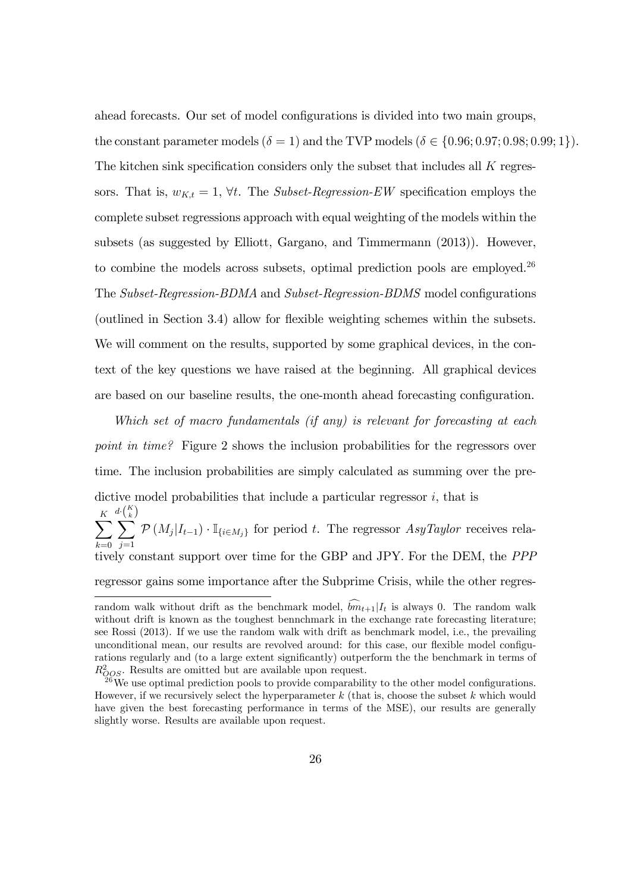ahead forecasts. Our set of model configurations is divided into two main groups, the constant parameter models  $(\delta = 1)$  and the TVP models  $(\delta \in \{0.96; 0.97; 0.98; 0.99; 1\}).$ The kitchen sink specification considers only the subset that includes all  $K$  regressors. That is,  $w_{K,t} = 1$ ,  $\forall t$ . The *Subset-Regression-EW* specification employs the complete subset regressions approach with equal weighting of the models within the subsets (as suggested by Elliott, Gargano, and Timmermann (2013)). However, to combine the models across subsets, optimal prediction pools are employed.<sup>26</sup> The Subset-Regression-BDMA and Subset-Regression-BDMS model configurations (outlined in Section 3.4) allow for flexible weighting schemes within the subsets. We will comment on the results, supported by some graphical devices, in the context of the key questions we have raised at the beginning. All graphical devices are based on our baseline results, the one-month ahead forecasting configuration.

Which set of macro fundamentals (if any) is relevant for forecasting at each point in time? Figure 2 shows the inclusion probabilities for the regressors over time. The inclusion probabilities are simply calculated as summing over the predictive model probabilities that include a particular regressor  $i$ , that is  $\sum_{k=1}^{K}$  $_{k=0}$  $\frac{d\cdot\left(\frac{K}{k}\right)}{\sum}$ K $j=1$  $\mathcal{P}(M_j|I_{t-1}) \cdot \mathbb{I}_{\{i \in M_j\}}$  for period t. The regressor  $AsyTaylor$  receives relatively constant support over time for the GBP and JPY. For the DEM, the PPP regressor gains some importance after the Subprime Crisis, while the other regres-

random walk without drift as the benchmark model,  $\widehat{bm}_{t+1}|I_t$  is always 0. The random walk without drift is known as the toughest bennchmark in the exchange rate forecasting literature; see Rossi (2013). If we use the random walk with drift as benchmark model, i.e., the prevailing unconditional mean, our results are revolved around: for this case, our flexible model configurations regularly and (to a large extent significantly) outperform the the benchmark in terms of  $R_{QOS}^2$ . Results are omitted but are available upon request.

 $^{26}$ We use optimal prediction pools to provide comparability to the other model configurations. However, if we recursively select the hyperparameter  $k$  (that is, choose the subset  $k$  which would have given the best forecasting performance in terms of the MSE), our results are generally slightly worse. Results are available upon request.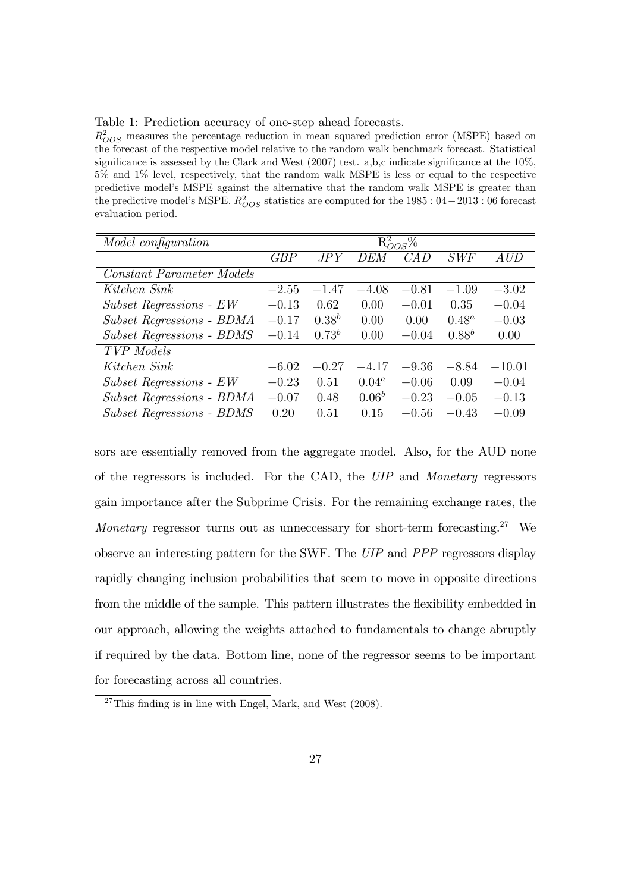Table 1: Prediction accuracy of one-step ahead forecasts.

 $R_{OOS}^2$  measures the percentage reduction in mean squared prediction error (MSPE) based on the forecast of the respective model relative to the random walk benchmark forecast. Statistical significance is assessed by the Clark and West  $(2007)$  test. a,b,c indicate significance at the 10%, 5% and 1% level, respectively, that the random walk MSPE is less or equal to the respective predictive model's MSPE against the alternative that the random walk MSPE is greater than the predictive model's MSPE.  $R_{OOS}^2$  statistics are computed for the 1985 : 04 – 2013 : 06 forecast evaluation period.

| Model configuration              | $R_{OOS}^2$ % |            |          |         |            |                                  |  |  |  |
|----------------------------------|---------------|------------|----------|---------|------------|----------------------------------|--|--|--|
|                                  | GBP           | JPY        | DEM      | CAD     | SWF        | $\mathit{A}\mathit{U}\mathit{D}$ |  |  |  |
| Constant Parameter Models        |               |            |          |         |            |                                  |  |  |  |
| Kitchen Sink                     | $-2.55$       | $-1.47$    | $-4.08$  | $-0.81$ | $-1.09$    | $-3.02$                          |  |  |  |
| Subset Regressions - EW          | $-0.13$       | 0.62       | 0.00     | $-0.01$ | 0.35       | $-0.04$                          |  |  |  |
| Subset Regressions - BDMA        | $-0.17$       | $0.38^{b}$ | 0.00     | 0.00    | $0.48^a$   | $-0.03$                          |  |  |  |
| <b>Subset Regressions - BDMS</b> | $-0.14$       | $0.73^{b}$ | 0.00     | $-0.04$ | $0.88^{b}$ | 0.00                             |  |  |  |
| <b>TVP</b> Models                |               |            |          |         |            |                                  |  |  |  |
| Kitchen Sink                     | $-6.02$       | $-0.27$    | $-4.17$  | $-9.36$ | $-8.84$    | $-10.01$                         |  |  |  |
| Subset Regressions - EW          | $-0.23$       | 0.51       | $0.04^a$ | $-0.06$ | 0.09       | $-0.04$                          |  |  |  |
| Subset Regressions - BDMA        | $-0.07$       | 0.48       | $0.06^b$ | $-0.23$ | $-0.05$    | $-0.13$                          |  |  |  |
| <b>Subset Regressions - BDMS</b> | 0.20          | 0.51       | 0.15     | $-0.56$ | $-0.43$    | $-0.09$                          |  |  |  |

sors are essentially removed from the aggregate model. Also, for the AUD none of the regressors is included. For the CAD, the UIP and Monetary regressors gain importance after the Subprime Crisis. For the remaining exchange rates, the *Monetary* regressor turns out as unneccessary for short-term forecasting.<sup>27</sup> We observe an interesting pattern for the SWF. The UIP and PPP regressors display rapidly changing inclusion probabilities that seem to move in opposite directions from the middle of the sample. This pattern illustrates the flexibility embedded in our approach, allowing the weights attached to fundamentals to change abruptly if required by the data. Bottom line, none of the regressor seems to be important for forecasting across all countries.

 $27$ This finding is in line with Engel, Mark, and West (2008).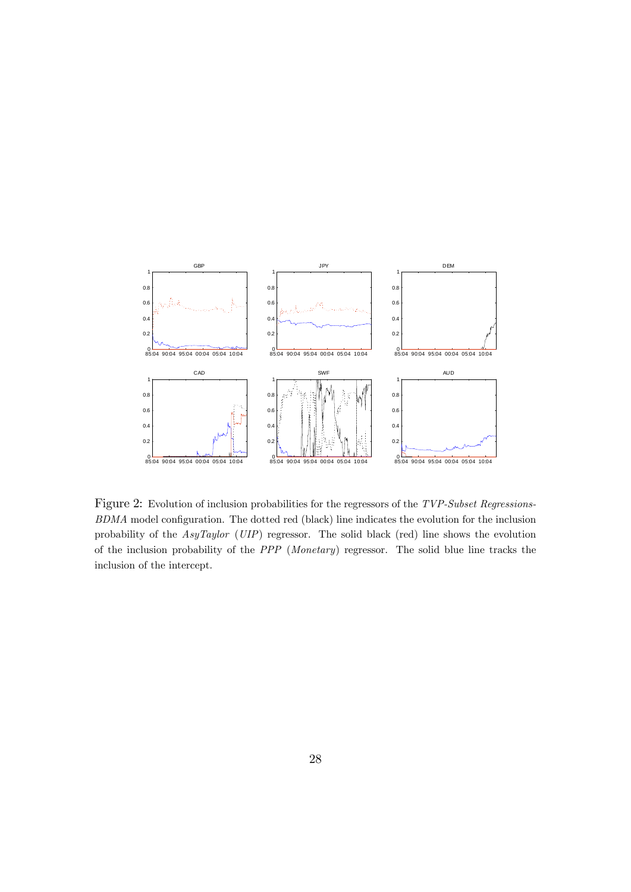

Figure 2: Evolution of inclusion probabilities for the regressors of the TVP-Subset Regressions- $BDMA$  model configuration. The dotted red (black) line indicates the evolution for the inclusion probability of the AsyTaylor (UIP) regressor. The solid black (red) line shows the evolution of the inclusion probability of the PPP (Monetary) regressor. The solid blue line tracks the inclusion of the intercept.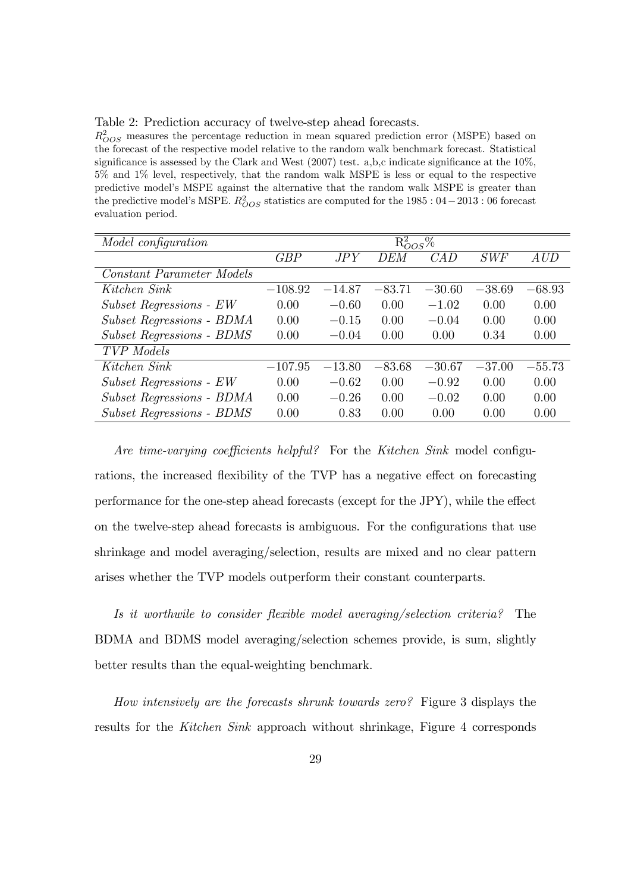Table 2: Prediction accuracy of twelve-step ahead forecasts.

 $R_{OOS}^2$  measures the percentage reduction in mean squared prediction error (MSPE) based on the forecast of the respective model relative to the random walk benchmark forecast. Statistical significance is assessed by the Clark and West  $(2007)$  test. a,b,c indicate significance at the 10%, 5% and 1% level, respectively, that the random walk MSPE is less or equal to the respective predictive model's MSPE against the alternative that the random walk MSPE is greater than the predictive model's MSPE.  $R_{OOS}^2$  statistics are computed for the 1985 : 04 – 2013 : 06 forecast evaluation period.

| Model configuration              | $R_{OOS}^2\%$ |          |          |          |          |          |  |  |
|----------------------------------|---------------|----------|----------|----------|----------|----------|--|--|
|                                  | GBP           | JPY      | DEM      | CAD      | SWF      | AUD      |  |  |
| <b>Constant Parameter Models</b> |               |          |          |          |          |          |  |  |
| Kitchen Sink                     | $-108.92$     | $-14.87$ | $-83.71$ | $-30.60$ | $-38.69$ | $-68.93$ |  |  |
| Subset Regressions - EW          | 0.00          | $-0.60$  | 0.00     | $-1.02$  | 0.00     | 0.00     |  |  |
| Subset Regressions - BDMA        | 0.00          | $-0.15$  | 0.00     | $-0.04$  | 0.00     | 0.00     |  |  |
| <b>Subset Regressions - BDMS</b> | 0.00          | $-0.04$  | 0.00     | 0.00     | 0.34     | 0.00     |  |  |
| <b>TVP</b> Models                |               |          |          |          |          |          |  |  |
| Kitchen Sink                     | $-107.95$     | $-13.80$ | $-83.68$ | $-30.67$ | $-37.00$ | $-55.73$ |  |  |
| Subset Regressions - EW          | 0.00          | $-0.62$  | 0.00     | $-0.92$  | 0.00     | 0.00     |  |  |
| Subset Regressions - BDMA        | 0.00          | $-0.26$  | 0.00     | $-0.02$  | 0.00     | 0.00     |  |  |
| <b>Subset Regressions - BDMS</b> | 0.00          | 0.83     | 0.00     | 0.00     | 0.00     | 0.00     |  |  |

Are time-varying coefficients helpful? For the Kitchen Sink model configurations, the increased flexibility of the TVP has a negative effect on forecasting performance for the one-step ahead forecasts (except for the JPY), while the effect on the twelve-step ahead forecasts is ambiguous. For the configurations that use shrinkage and model averaging/selection, results are mixed and no clear pattern arises whether the TVP models outperform their constant counterparts.

Is it worthwile to consider flexible model averaging/selection criteria? The BDMA and BDMS model averaging/selection schemes provide, is sum, slightly better results than the equal-weighting benchmark.

How intensively are the forecasts shrunk towards zero? Figure 3 displays the results for the Kitchen Sink approach without shrinkage, Figure 4 corresponds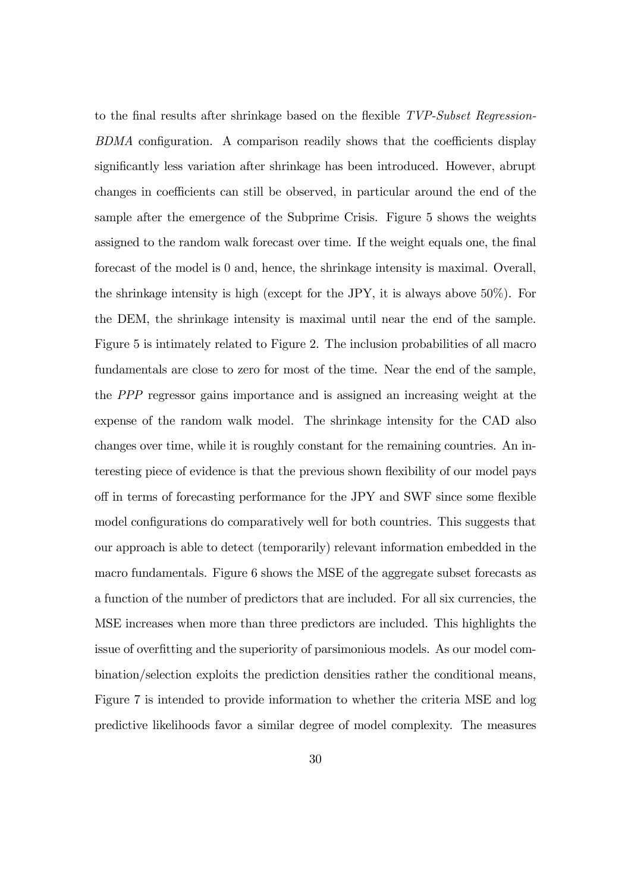to the final results after shrinkage based on the flexible TVP-Subset Regression-BDMA configuration. A comparison readily shows that the coefficients display significantly less variation after shrinkage has been introduced. However, abrupt changes in coefficients can still be observed, in particular around the end of the sample after the emergence of the Subprime Crisis. Figure 5 shows the weights assigned to the random walk forecast over time. If the weight equals one, the final forecast of the model is 0 and, hence, the shrinkage intensity is maximal. Overall, the shrinkage intensity is high (except for the JPY, it is always above 50%). For the DEM, the shrinkage intensity is maximal until near the end of the sample. Figure 5 is intimately related to Figure 2. The inclusion probabilities of all macro fundamentals are close to zero for most of the time. Near the end of the sample, the PPP regressor gains importance and is assigned an increasing weight at the expense of the random walk model. The shrinkage intensity for the CAD also changes over time, while it is roughly constant for the remaining countries. An interesting piece of evidence is that the previous shown flexibility of our model pays off in terms of forecasting performance for the JPY and SWF since some flexible model configurations do comparatively well for both countries. This suggests that our approach is able to detect (temporarily) relevant information embedded in the macro fundamentals. Figure 6 shows the MSE of the aggregate subset forecasts as a function of the number of predictors that are included. For all six currencies, the MSE increases when more than three predictors are included. This highlights the issue of overfitting and the superiority of parsimonious models. As our model combination/selection exploits the prediction densities rather the conditional means, Figure 7 is intended to provide information to whether the criteria MSE and log predictive likelihoods favor a similar degree of model complexity. The measures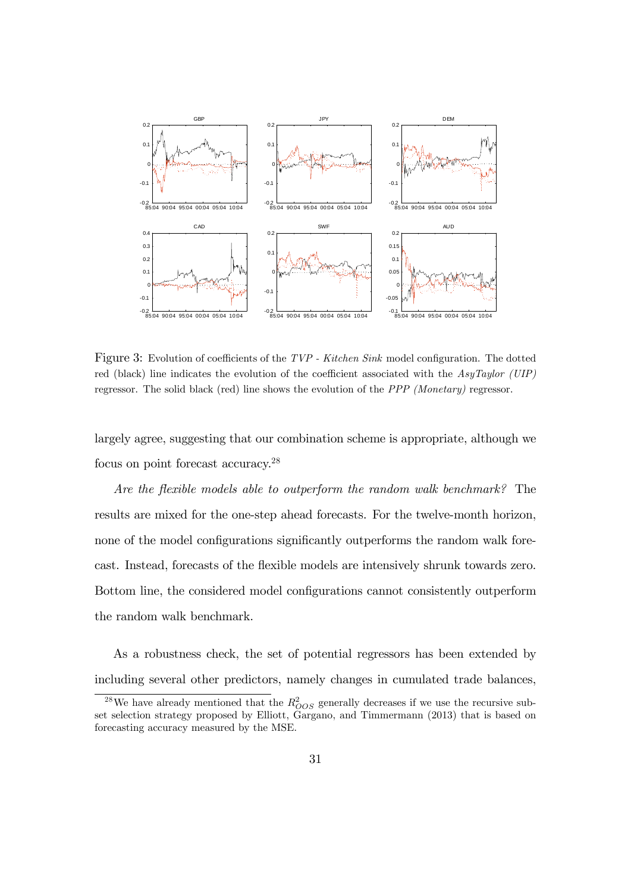

Figure 3: Evolution of coefficients of the  $TVP$  - Kitchen Sink model configuration. The dotted red (black) line indicates the evolution of the coefficient associated with the AsyTaylor (UIP) regressor. The solid black (red) line shows the evolution of the PPP (Monetary) regressor.

largely agree, suggesting that our combination scheme is appropriate, although we focus on point forecast accuracy.<sup>28</sup>

Are the flexible models able to outperform the random walk benchmark? The results are mixed for the one-step ahead forecasts. For the twelve-month horizon, none of the model configurations significantly outperforms the random walk forecast. Instead, forecasts of the flexible models are intensively shrunk towards zero. Bottom line, the considered model configurations cannot consistently outperform the random walk benchmark.

As a robustness check, the set of potential regressors has been extended by including several other predictors, namely changes in cumulated trade balances,

<sup>&</sup>lt;sup>28</sup>We have already mentioned that the  $R_{OOS}^2$  generally decreases if we use the recursive subset selection strategy proposed by Elliott, Gargano, and Timmermann (2013) that is based on forecasting accuracy measured by the MSE.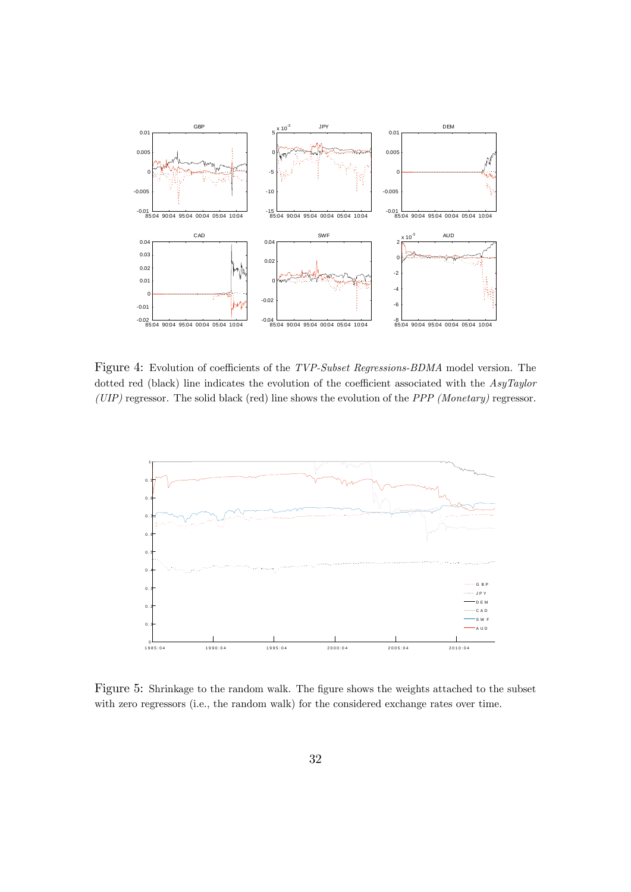

Figure 4: Evolution of coefficients of the TVP-Subset Regressions-BDMA model version. The dotted red (black) line indicates the evolution of the coefficient associated with the  $AsyTaylor$  $(UIP)$  regressor. The solid black (red) line shows the evolution of the PPP (Monetary) regressor.



Figure 5: Shrinkage to the random walk. The figure shows the weights attached to the subset with zero regressors (i.e., the random walk) for the considered exchange rates over time.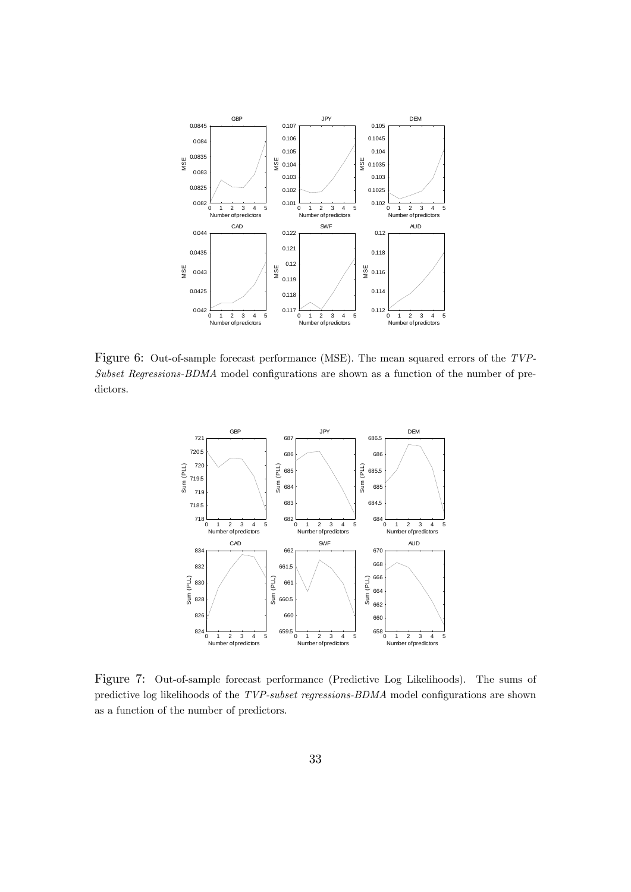

Figure 6: Out-of-sample forecast performance (MSE). The mean squared errors of the TVP- $Subset$  Regressions-BDMA model configurations are shown as a function of the number of predictors.



Figure 7: Out-of-sample forecast performance (Predictive Log Likelihoods). The sums of predictive log likelihoods of the  $TVP-subset$  regressions- $BDMA$  model configurations are shown as a function of the number of predictors.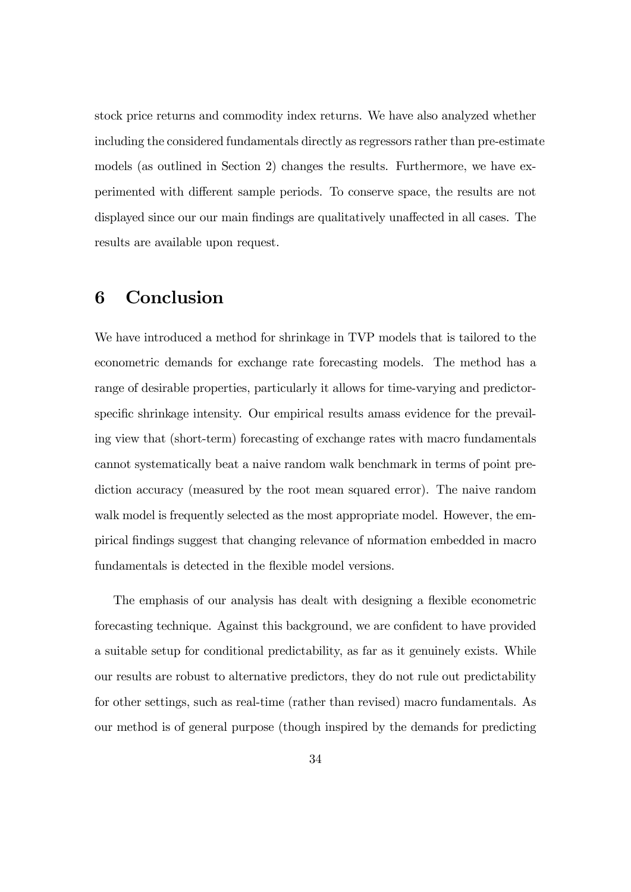stock price returns and commodity index returns. We have also analyzed whether including the considered fundamentals directly as regressors rather than pre-estimate models (as outlined in Section 2) changes the results. Furthermore, we have experimented with different sample periods. To conserve space, the results are not displayed since our our main findings are qualitatively unaffected in all cases. The results are available upon request.

## 6 Conclusion

We have introduced a method for shrinkage in TVP models that is tailored to the econometric demands for exchange rate forecasting models. The method has a range of desirable properties, particularly it allows for time-varying and predictorspecific shrinkage intensity. Our empirical results amass evidence for the prevailing view that (short-term) forecasting of exchange rates with macro fundamentals cannot systematically beat a naive random walk benchmark in terms of point prediction accuracy (measured by the root mean squared error). The naive random walk model is frequently selected as the most appropriate model. However, the empirical Öndings suggest that changing relevance of nformation embedded in macro fundamentals is detected in the flexible model versions.

The emphasis of our analysis has dealt with designing a flexible econometric forecasting technique. Against this background, we are confident to have provided a suitable setup for conditional predictability, as far as it genuinely exists. While our results are robust to alternative predictors, they do not rule out predictability for other settings, such as real-time (rather than revised) macro fundamentals. As our method is of general purpose (though inspired by the demands for predicting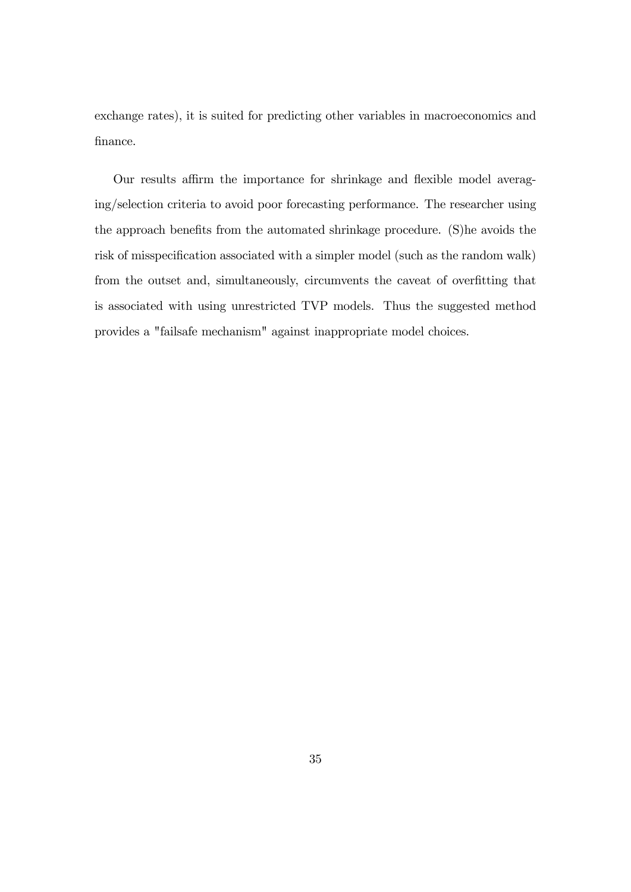exchange rates), it is suited for predicting other variables in macroeconomics and finance.

Our results affirm the importance for shrinkage and flexible model averaging/selection criteria to avoid poor forecasting performance. The researcher using the approach benefits from the automated shrinkage procedure. (S)he avoids the risk of misspecification associated with a simpler model (such as the random walk) from the outset and, simultaneously, circumvents the caveat of overfitting that is associated with using unrestricted TVP models. Thus the suggested method provides a "failsafe mechanism" against inappropriate model choices.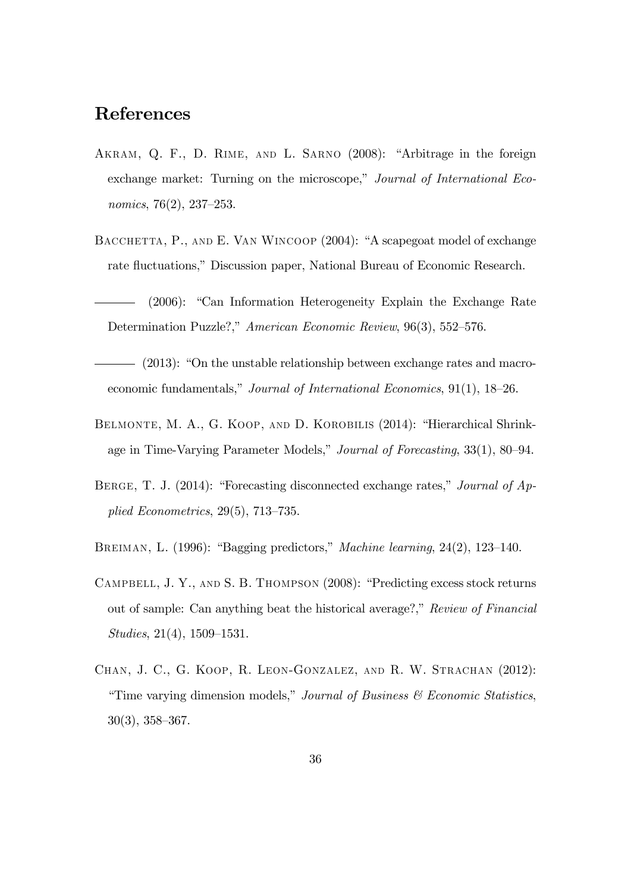## References

- AKRAM, Q. F., D. RIME, AND L. SARNO (2008): "Arbitrage in the foreign exchange market: Turning on the microscope," Journal of International Economics,  $76(2)$ ,  $237-253$ .
- BACCHETTA, P., AND E. VAN WINCOOP (2004): "A scapegoat model of exchange rate fluctuations," Discussion paper, National Bureau of Economic Research.
- $(2006)$ : "Can Information Heterogeneity Explain the Exchange Rate Determination Puzzle?," American Economic Review, 96(3), 552–576.
- $-$  (2013): "On the unstable relationship between exchange rates and macroeconomic fundamentals," Journal of International Economics, 91(1), 18–26.
- BELMONTE, M. A., G. KOOP, AND D. KOROBILIS (2014): "Hierarchical Shrinkage in Time-Varying Parameter Models," Journal of Forecasting, 33(1), 80–94.
- BERGE, T. J. (2014): "Forecasting disconnected exchange rates," Journal of Applied Econometrics,  $29(5)$ ,  $713-735$ .
- BREIMAN, L. (1996): "Bagging predictors," *Machine learning*,  $24(2)$ , 123–140.
- CAMPBELL, J. Y., AND S. B. THOMPSON (2008): "Predicting excess stock returns out of sample: Can anything beat the historical average?," Review of Financial  $Studies, 21(4), 1509-1531.$
- Chan, J. C., G. Koop, R. Leon-Gonzalez, and R. W. Strachan (2012): "Time varying dimension models," Journal of Business  $\mathcal C$  Economic Statistics,  $30(3)$ ,  $358-367$ .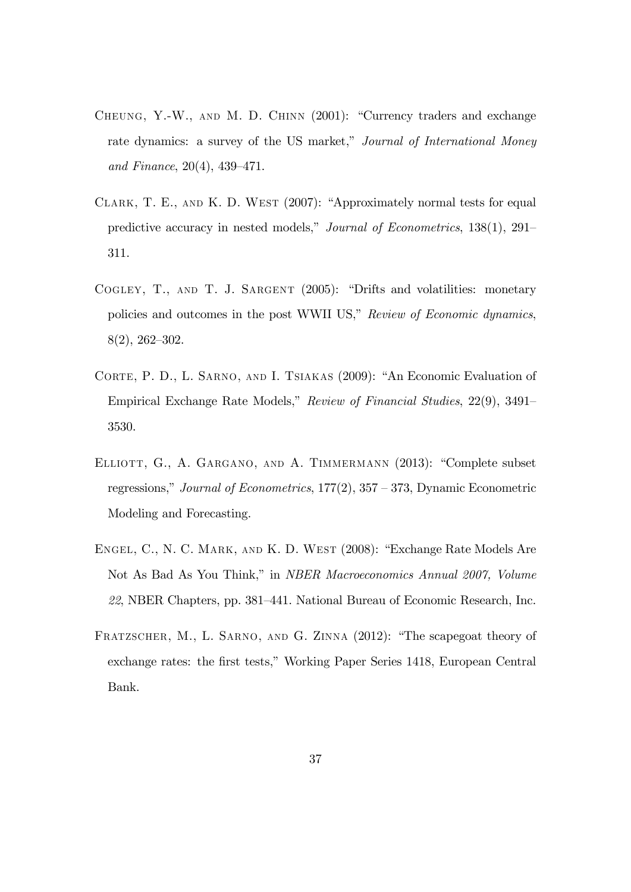- CHEUNG, Y.-W., AND M. D. CHINN  $(2001)$ : "Currency traders and exchange rate dynamics: a survey of the US market," Journal of International Money and Finance,  $20(4)$ ,  $439-471$ .
- CLARK, T. E., AND K. D. WEST  $(2007)$ : "Approximately normal tests for equal predictive accuracy in nested models," Journal of Econometrics,  $138(1)$ ,  $291-$ 311.
- COGLEY, T., AND T. J. SARGENT (2005): "Drifts and volatilities: monetary policies and outcomes in the post WWII US," Review of Economic dynamics,  $8(2), 262 - 302.$
- CORTE, P. D., L. SARNO, AND I. TSIAKAS (2009): "An Economic Evaluation of Empirical Exchange Rate Models," Review of Financial Studies,  $22(9)$ ,  $3491-$ 3530.
- ELLIOTT, G., A. GARGANO, AND A. TIMMERMANN (2013): "Complete subset regressions," Journal of Econometrics,  $177(2)$ ,  $357 - 373$ , Dynamic Econometric Modeling and Forecasting.
- ENGEL, C., N. C. MARK, AND K. D. WEST (2008): "Exchange Rate Models Are Not As Bad As You Think," in NBER Macroeconomics Annual 2007, Volume 22, NBER Chapters, pp. 381–441. National Bureau of Economic Research, Inc.
- FRATZSCHER, M., L. SARNO, AND G. ZINNA (2012): "The scapegoat theory of exchange rates: the first tests," Working Paper Series 1418, European Central Bank.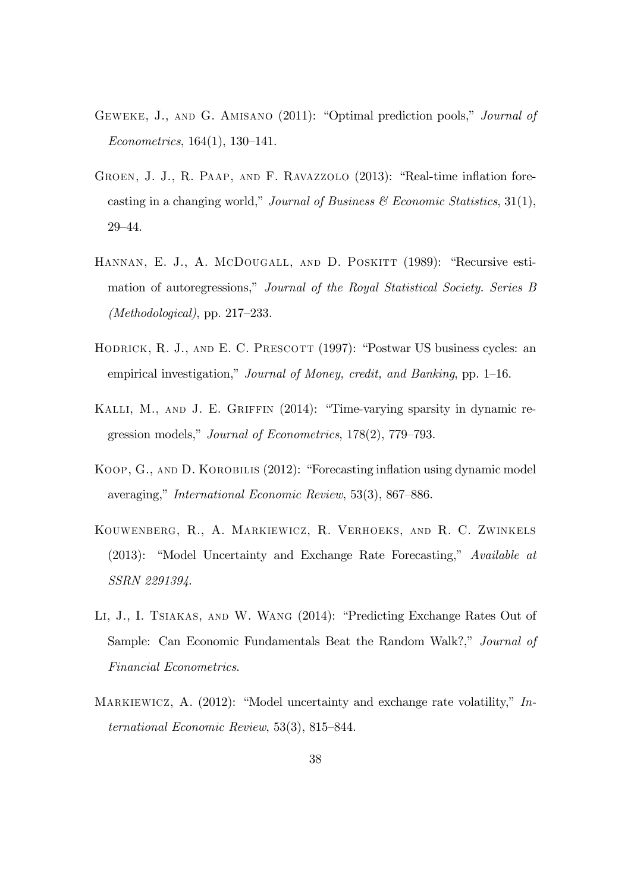- GEWEKE, J., AND G. AMISANO (2011): "Optimal prediction pools," *Journal of*  $Econometrics, 164(1), 130-141.$
- GROEN, J. J., R. PAAP, AND F. RAVAZZOLO (2013): "Real-time inflation forecasting in a changing world," Journal of Business  $\mathcal C$  Economic Statistics, 31(1), 29-44.
- HANNAN, E. J., A. MCDOUGALL, AND D. POSKITT (1989): "Recursive estimation of autoregressions," Journal of the Royal Statistical Society. Series B (Methodological), pp.  $217-233$ .
- HODRICK, R. J., AND E. C. PRESCOTT  $(1997)$ : "Postwar US business cycles: an empirical investigation," Journal of Money, credit, and Banking, pp.  $1-16$ .
- KALLI, M., AND J. E. GRIFFIN (2014): "Time-varying sparsity in dynamic regression models," Journal of Econometrics,  $178(2)$ ,  $779-793$ .
- KOOP, G., AND D. KOROBILIS (2012): "Forecasting inflation using dynamic model averaging," International Economic Review, 53(3), 867–886.
- Kouwenberg, R., A. Markiewicz, R. Verhoeks, and R. C. Zwinkels  $(2013):$  "Model Uncertainty and Exchange Rate Forecasting," Available at SSRN 2291394.
- LI, J., I. TSIAKAS, AND W. WANG  $(2014)$ : "Predicting Exchange Rates Out of Sample: Can Economic Fundamentals Beat the Random Walk?," Journal of Financial Econometrics.
- MARKIEWICZ, A.  $(2012)$ : "Model uncertainty and exchange rate volatility," International Economic Review,  $53(3)$ ,  $815-844$ .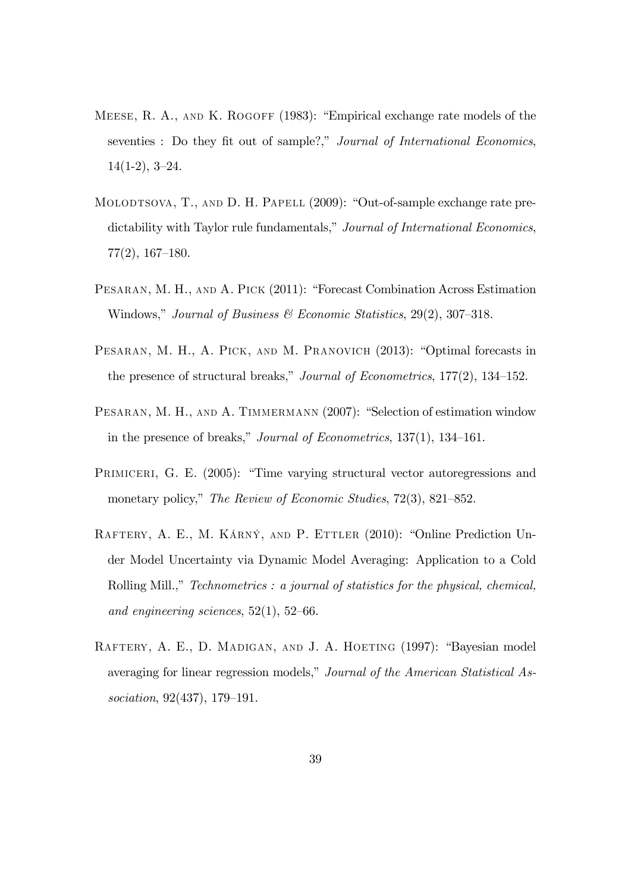- MEESE, R. A., AND K. ROGOFF  $(1983)$ : "Empirical exchange rate models of the seventies : Do they fit out of sample?," Journal of International Economics,  $14(1-2), 3-24.$
- MOLODTSOVA, T., AND D. H. PAPELL (2009): "Out-of-sample exchange rate predictability with Taylor rule fundamentals," Journal of International Economics,  $77(2)$ , 167–180.
- PESARAN, M. H., AND A. PICK (2011): "Forecast Combination Across Estimation Windows," Journal of Business  $\mathcal C$  Economic Statistics, 29(2), 307–318.
- PESARAN, M. H., A. PICK, AND M. PRANOVICH (2013): "Optimal forecasts in the presence of structural breaks," Journal of Econometrics,  $177(2)$ ,  $134-152$ .
- PESARAN, M. H., AND A. TIMMERMANN (2007): "Selection of estimation window in the presence of breaks," Journal of Econometrics,  $137(1)$ ,  $134-161$ .
- PRIMICERI, G. E. (2005): "Time varying structural vector autoregressions and monetary policy," The Review of Economic Studies,  $72(3)$ ,  $821-852$ .
- RAFTERY, A. E., M. KÁRNÝ, AND P. ETTLER (2010): "Online Prediction Under Model Uncertainty via Dynamic Model Averaging: Application to a Cold Rolling Mill.," Technometrics : a journal of statistics for the physical, chemical, and engineering sciences,  $52(1)$ ,  $52-66$ .
- RAFTERY, A. E., D. MADIGAN, AND J. A. HOETING (1997): "Bayesian model averaging for linear regression models," Journal of the American Statistical Association,  $92(437)$ ,  $179-191$ .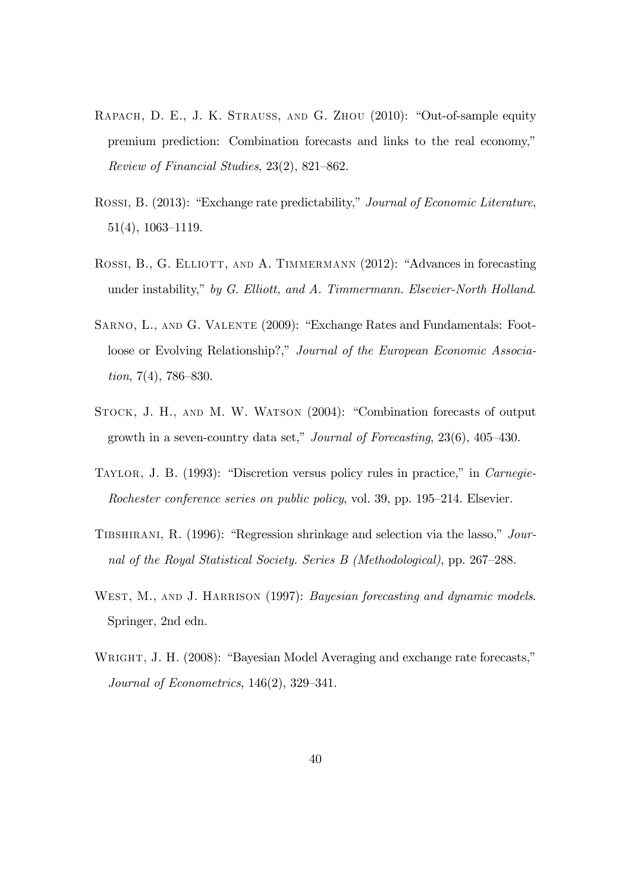- RAPACH, D. E., J. K. STRAUSS, AND G. ZHOU (2010): "Out-of-sample equity premium prediction: Combination forecasts and links to the real economy," Review of Financial Studies,  $23(2)$ ,  $821-862$ .
- ROSSI, B. (2013): "Exchange rate predictability," Journal of Economic Literature,  $51(4)$ , 1063-1119.
- ROSSI, B., G. ELLIOTT, AND A. TIMMERMANN (2012): "Advances in forecasting under instability," by G. Elliott, and A. Timmermann. Elsevier-North Holland.
- SARNO, L., AND G. VALENTE (2009): "Exchange Rates and Fundamentals: Footloose or Evolving Relationship?," Journal of the European Economic Associa $tion, 7(4), 786-830.$
- STOCK, J. H., AND M. W. WATSON (2004): "Combination forecasts of output growth in a seven-country data set," Journal of Forecasting,  $23(6)$ ,  $405-430$ .
- TAYLOR, J. B. (1993): "Discretion versus policy rules in practice," in Carnegie-Rochester conference series on public policy, vol. 39, pp.  $195-214$ . Elsevier.
- TIBSHIRANI, R. (1996): "Regression shrinkage and selection via the lasso,"  $Jour$ nal of the Royal Statistical Society. Series B (Methodological), pp.  $267-288$ .
- WEST, M., AND J. HARRISON (1997): *Bayesian forecasting and dynamic models.* Springer, 2nd edn.
- WRIGHT, J. H. (2008): "Bayesian Model Averaging and exchange rate forecasts," Journal of Econometrics,  $146(2)$ ,  $329-341$ .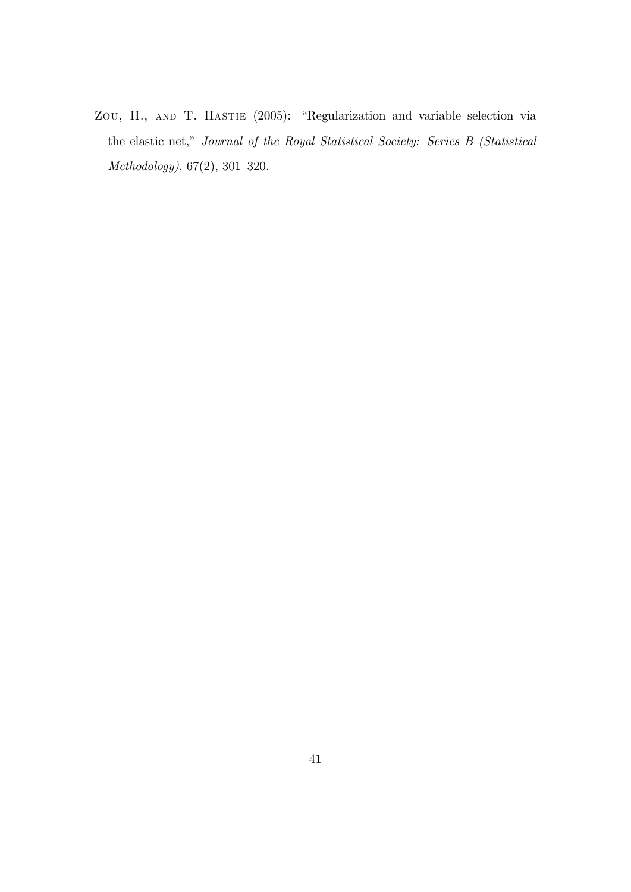ZOU, H., AND T. HASTIE (2005): "Regularization and variable selection via the elastic net," Journal of the Royal Statistical Society: Series B (Statistical  $Methodology, 67(2), 301-320.$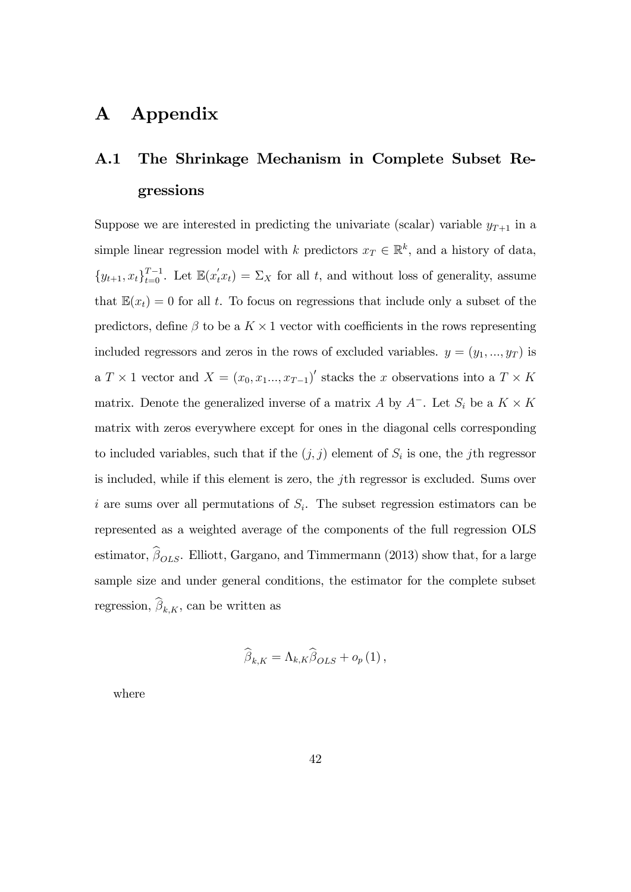## A Appendix

## A.1 The Shrinkage Mechanism in Complete Subset Regressions

Suppose we are interested in predicting the univariate (scalar) variable  $y_{T+1}$  in a simple linear regression model with k predictors  $x_T \in \mathbb{R}^k$ , and a history of data,  $\{y_{t+1}, x_t\}_{t=0}^{T-1}$ . Let  $\mathbb{E}(x_t^{\prime}x_t) = \Sigma_X$  for all t, and without loss of generality, assume that  $\mathbb{E}(x_t) = 0$  for all t. To focus on regressions that include only a subset of the predictors, define  $\beta$  to be a  $K \times 1$  vector with coefficients in the rows representing included regressors and zeros in the rows of excluded variables.  $y = (y_1, ..., y_T)$  is a  $T \times 1$  vector and  $X = (x_0, x_1, \ldots, x_{T-1})'$  stacks the x observations into a  $T \times K$ matrix. Denote the generalized inverse of a matrix A by  $A^-$ . Let  $S_i$  be a  $K \times K$ matrix with zeros everywhere except for ones in the diagonal cells corresponding to included variables, such that if the  $(j, j)$  element of  $S<sub>i</sub>$  is one, the jth regressor is included, while if this element is zero, the jth regressor is excluded. Sums over i are sums over all permutations of  $S_i$ . The subset regression estimators can be represented as a weighted average of the components of the full regression OLS estimator,  $\beta_{OLS}$ . Elliott, Gargano, and Timmermann (2013) show that, for a large sample size and under general conditions, the estimator for the complete subset regression,  $\beta_{k,K}$ , can be written as

$$
\widehat{\beta}_{k,K} = \Lambda_{k,K} \widehat{\beta}_{OLS} + o_p(1) ,
$$

where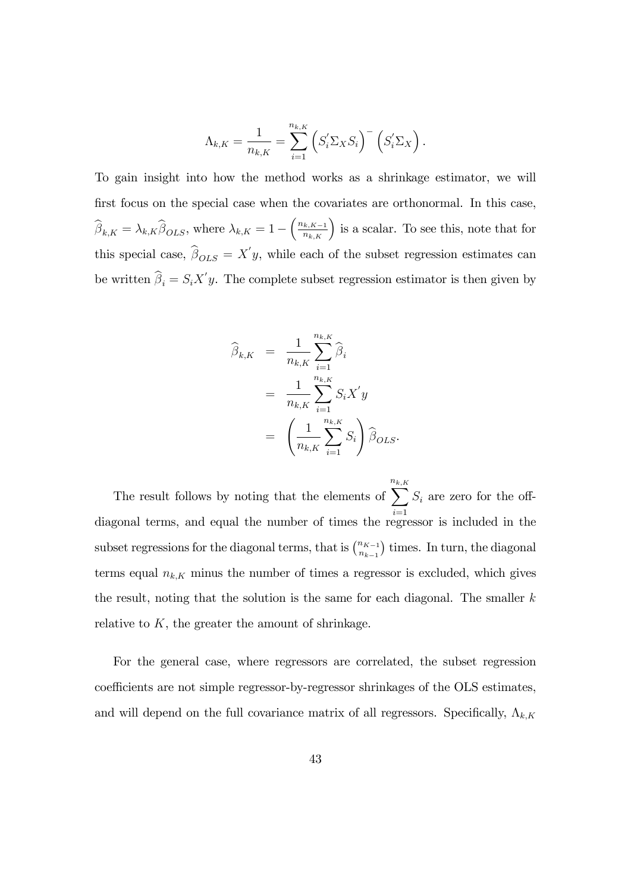$$
\Lambda_{k,K} = \frac{1}{n_{k,K}} = \sum_{i=1}^{n_{k,K}} \left( S_i' \Sigma_X S_i \right)^{-} \left( S_i' \Sigma_X \right).
$$

To gain insight into how the method works as a shrinkage estimator, we will first focus on the special case when the covariates are orthonormal. In this case,  $\widehat{\beta}_{k,K} = \lambda_{k,K} \widehat{\beta}_{OLS}$ , where  $\lambda_{k,K} = 1 - \left(\frac{n_{k,K-1}}{n_{k,K}}\right)$  is a scalar. To see this, note that for this special case,  $\beta_{OLS} = X'y$ , while each of the subset regression estimates can be written  $\beta_i = S_i X' y$ . The complete subset regression estimator is then given by

$$
\widehat{\beta}_{k,K} = \frac{1}{n_{k,K}} \sum_{i=1}^{n_{k,K}} \widehat{\beta}_i
$$
\n
$$
= \frac{1}{n_{k,K}} \sum_{i=1}^{n_{k,K}} S_i X' y
$$
\n
$$
= \left(\frac{1}{n_{k,K}} \sum_{i=1}^{n_{k,K}} S_i\right) \widehat{\beta}_{OLS}.
$$

The result follows by noting that the elements of n $\sum^{n_{k,K}}$ diagonal terms, and equal the number of times the regressor is included in the  $S_i$  are zero for the offsubset regressions for the diagonal terms, that is  $\binom{n_{K-1}}{n_{K-1}}$  $n_{k-1}$ ) times. In turn, the diagonal terms equal  $n_{k,K}$  minus the number of times a regressor is excluded, which gives the result, noting that the solution is the same for each diagonal. The smaller  $k$ relative to  $K$ , the greater the amount of shrinkage.

For the general case, where regressors are correlated, the subset regression coefficients are not simple regressor-by-regressor shrinkages of the OLS estimates, and will depend on the full covariance matrix of all regressors. Specifically,  $\Lambda_{k,K}$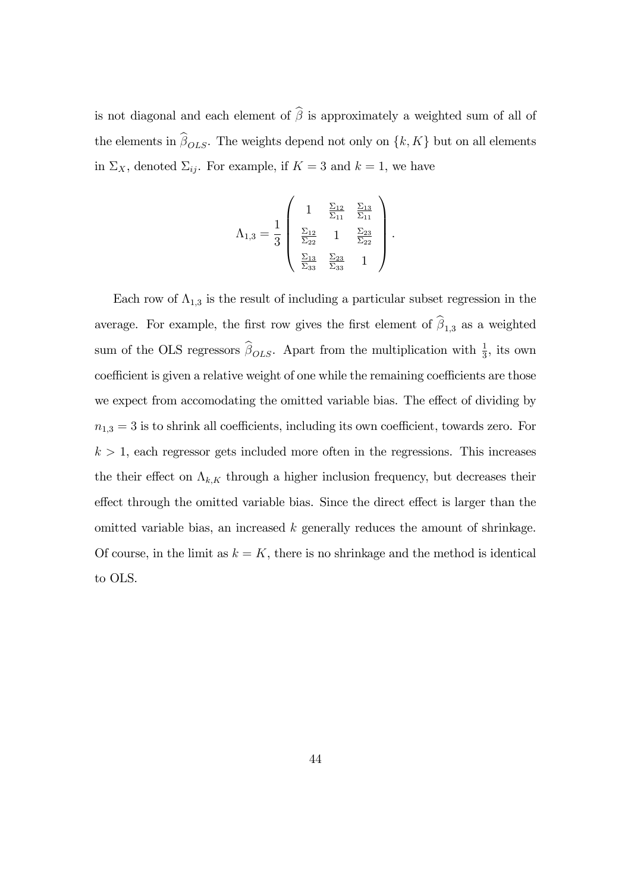is not diagonal and each element of  $\widehat{\boldsymbol{\beta}}$  is approximately a weighted sum of all of the elements in  $\beta_{OLS}$ . The weights depend not only on  $\{k, K\}$  but on all elements in  $\Sigma_X$ , denoted  $\Sigma_{ij}$ . For example, if  $K = 3$  and  $k = 1$ , we have

$$
\Lambda_{1,3} = \frac{1}{3} \begin{pmatrix} 1 & \frac{\Sigma_{12}}{\Sigma_{11}} & \frac{\Sigma_{13}}{\Sigma_{11}} \\ & & \\ \frac{\Sigma_{12}}{\Sigma_{22}} & 1 & \frac{\Sigma_{23}}{\Sigma_{22}} \\ & & \\ \frac{\Sigma_{13}}{\Sigma_{33}} & \frac{\Sigma_{23}}{\Sigma_{33}} & 1 \end{pmatrix}.
$$

Each row of  $\Lambda_{1,3}$  is the result of including a particular subset regression in the average. For example, the first row gives the first element of  $\beta_{1,3}$  as a weighted sum of the OLS regressors  $\widehat{\beta}_{OLS}$ . Apart from the multiplication with  $\frac{1}{3}$ , its own coefficient is given a relative weight of one while the remaining coefficients are those we expect from accomodating the omitted variable bias. The effect of dividing by  $n_{1,3} = 3$  is to shrink all coefficients, including its own coefficient, towards zero. For  $k > 1$ , each regressor gets included more often in the regressions. This increases the their effect on  $\Lambda_{k,K}$  through a higher inclusion frequency, but decreases their effect through the omitted variable bias. Since the direct effect is larger than the omitted variable bias, an increased k generally reduces the amount of shrinkage. Of course, in the limit as  $k = K$ , there is no shrinkage and the method is identical to OLS.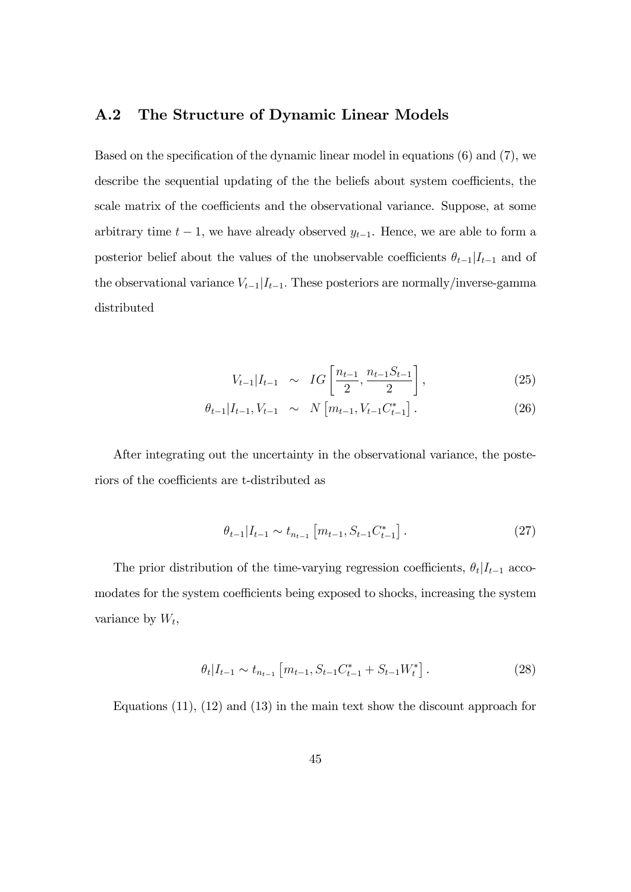#### A.2 The Structure of Dynamic Linear Models

Based on the specification of the dynamic linear model in equations  $(6)$  and  $(7)$ , we describe the sequential updating of the the beliefs about system coefficients, the scale matrix of the coefficients and the observational variance. Suppose, at some arbitrary time  $t - 1$ , we have already observed  $y_{t-1}$ . Hence, we are able to form a posterior belief about the values of the unobservable coefficients  $\theta_{t-1}|I_{t-1}$  and of the observational variance  $V_{t-1}|I_{t-1}$ . These posteriors are normally/inverse-gamma distributed

$$
V_{t-1}|I_{t-1} \sim IG\left[\frac{n_{t-1}}{2}, \frac{n_{t-1}S_{t-1}}{2}\right],
$$
\n(25)

$$
\theta_{t-1}|I_{t-1}, V_{t-1} \sim N\left[m_{t-1}, V_{t-1}C_{t-1}^*\right]. \tag{26}
$$

After integrating out the uncertainty in the observational variance, the posteriors of the coefficients are t-distributed as

$$
\theta_{t-1}|I_{t-1} \sim t_{n_{t-1}} \left[ m_{t-1}, S_{t-1} C_{t-1}^* \right]. \tag{27}
$$

The prior distribution of the time-varying regression coefficients,  $\theta_t | I_{t-1}$  accomodates for the system coefficients being exposed to shocks, increasing the system variance by  $W_t$ ,

$$
\theta_t | I_{t-1} \sim t_{n_{t-1}} \left[ m_{t-1}, S_{t-1} C_{t-1}^* + S_{t-1} W_t^* \right]. \tag{28}
$$

Equations (11), (12) and (13) in the main text show the discount approach for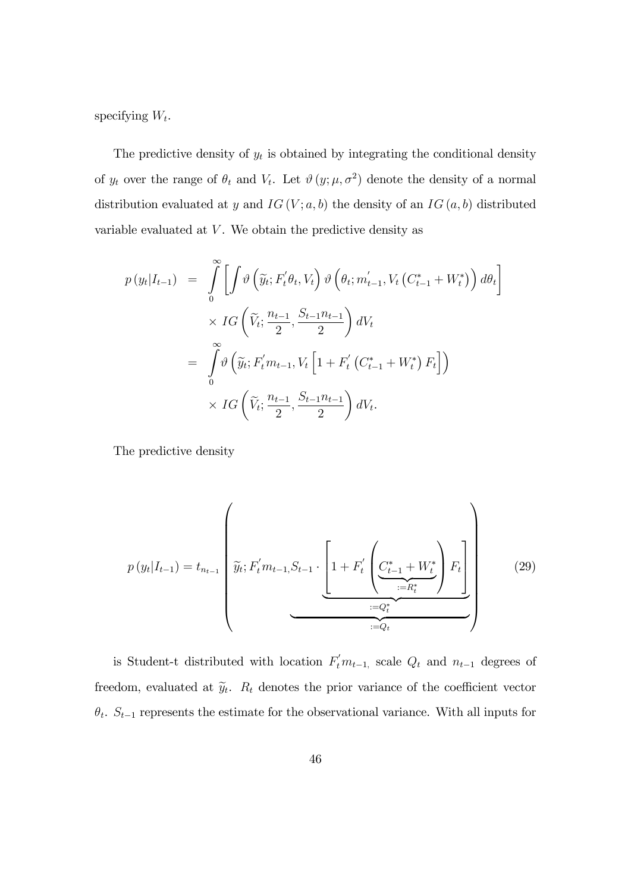specifying  $W_t$ .

The predictive density of  $y_t$  is obtained by integrating the conditional density of  $y_t$  over the range of  $\theta_t$  and  $V_t$ . Let  $\vartheta(y; \mu, \sigma^2)$  denote the density of a normal distribution evaluated at y and  $IG(V; a, b)$  the density of an  $IG(a, b)$  distributed variable evaluated at  $V$ . We obtain the predictive density as

$$
p(y_t|I_{t-1}) = \int_0^\infty \left[ \int \vartheta \left( \widetilde{y}_t; F_t' \theta_t, V_t \right) \vartheta \left( \theta_t; m'_{t-1}, V_t \left( C_{t-1}^* + W_t^* \right) \right) d\theta_t \right]
$$
  

$$
\times IG \left( \widetilde{V}_t; \frac{n_{t-1}}{2}, \frac{S_{t-1}n_{t-1}}{2} \right) dV_t
$$
  

$$
= \int_0^\infty \vartheta \left( \widetilde{y}_t; F_t' m_{t-1}, V_t \left[ 1 + F_t' \left( C_{t-1}^* + W_t^* \right) F_t \right] \right)
$$
  

$$
\times IG \left( \widetilde{V}_t; \frac{n_{t-1}}{2}, \frac{S_{t-1}n_{t-1}}{2} \right) dV_t.
$$

The predictive density

$$
p(y_t|I_{t-1}) = t_{n_{t-1}} \left( \widetilde{y}_t; F'_t m_{t-1}, S_{t-1} \cdot \underbrace{\left[1 + F'_t \left( \underbrace{C_{t-1}^* + W_t^*}_{:=R_t^*} \right) F_t \right]}_{:=Q_t} \right)
$$
(29)

is Student-t distributed with location  $F_t^{\prime} m_{t-1}$ , scale  $Q_t$  and  $n_{t-1}$  degrees of freedom, evaluated at  $\tilde{y}_t$ .  $R_t$  denotes the prior variance of the coefficient vector  $\theta_t$ .  $S_{t-1}$  represents the estimate for the observational variance. With all inputs for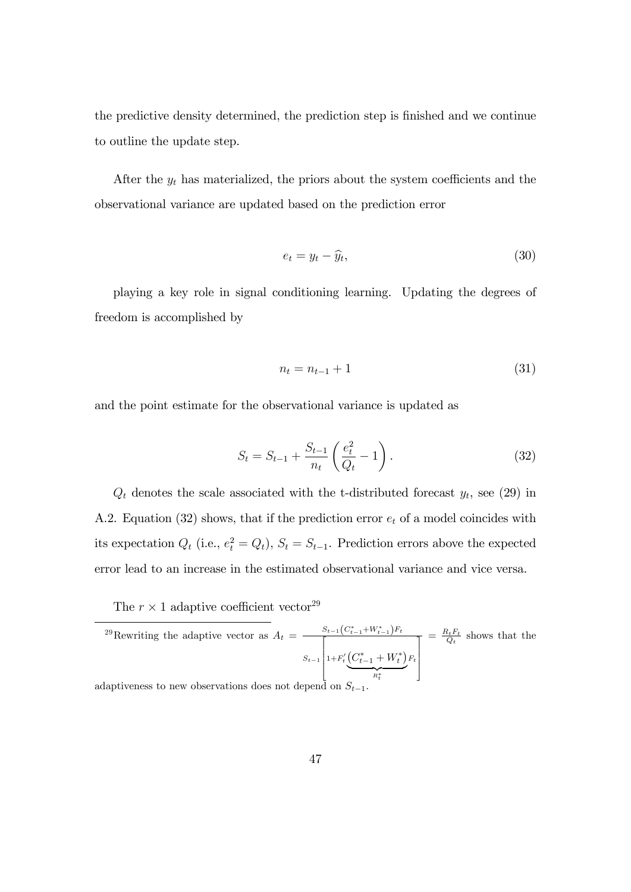the predictive density determined, the prediction step is finished and we continue to outline the update step.

After the  $y_t$  has materialized, the priors about the system coefficients and the observational variance are updated based on the prediction error

$$
e_t = y_t - \widehat{y}_t,\tag{30}
$$

playing a key role in signal conditioning learning. Updating the degrees of freedom is accomplished by

$$
n_t = n_{t-1} + 1 \tag{31}
$$

and the point estimate for the observational variance is updated as

$$
S_t = S_{t-1} + \frac{S_{t-1}}{n_t} \left( \frac{e_t^2}{Q_t} - 1 \right).
$$
 (32)

 $Q_t$  denotes the scale associated with the t-distributed forecast  $y_t$ , see (29) in A.2. Equation (32) shows, that if the prediction error  $e_t$  of a model coincides with its expectation  $Q_t$  (i.e.,  $e_t^2 = Q_t$ ),  $S_t = S_{t-1}$ . Prediction errors above the expected error lead to an increase in the estimated observational variance and vice versa.

The  $r \times 1$  adaptive coefficient vector<sup>29</sup>

$$
{}^{29}
$$
Rewriting the adaptive vector as  $A_t = \frac{S_{t-1}(C_{t-1}^* + W_{t-1}^*)F_t}{S_{t-1}\left[1 + F_t'\left(\underbrace{C_{t-1}^* + W_t^*}_{R_t^*}\right)F_t\right]} = \frac{R_t F_t}{Q_t}$  shows that the  
adaptiveness to new observations does not depend on  $S_{t-1}$ .